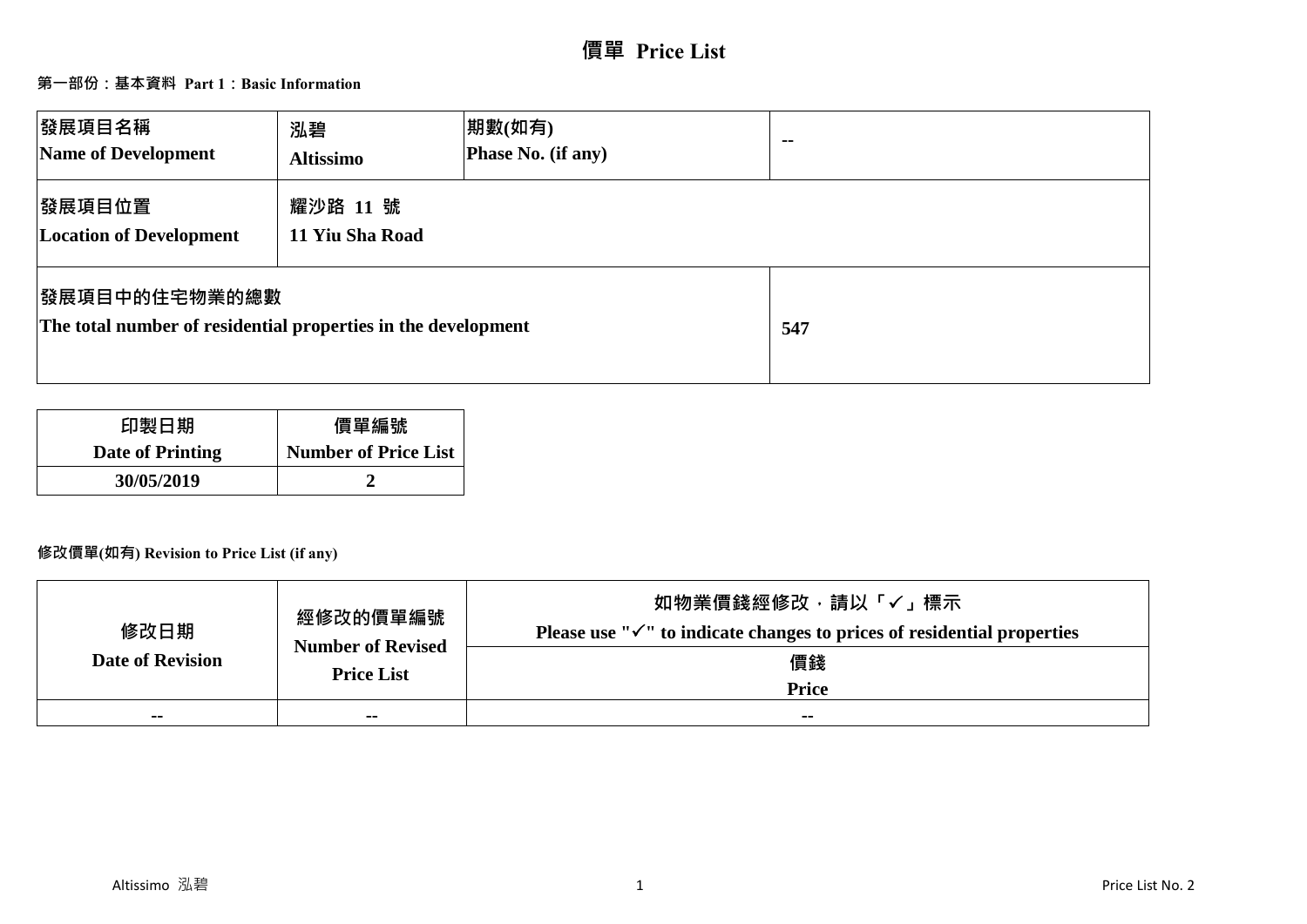# **價單 Price List**

## **第一部份:基本資料 Part 1:Basic Information**

| 發展項目名稱<br>Name of Development                                                          | 泓碧<br><b>Altissimo</b>      | 期數(如有)<br>Phase No. (if any) | $\sim$ $\sim$ |
|----------------------------------------------------------------------------------------|-----------------------------|------------------------------|---------------|
| 發展項目位置<br><b>Location of Development</b>                                               | 耀沙路 11 號<br>11 Yiu Sha Road |                              |               |
| <b> 發展項目中的住宅物業的總數</b><br>The total number of residential properties in the development |                             |                              | 547           |

| 印製日期             | 價單編號                        |
|------------------|-----------------------------|
| Date of Printing | <b>Number of Price List</b> |
| 30/05/2019       |                             |

## **修改價單(如有) Revision to Price List (if any)**

| 修改日期                    | 經修改的價單編號<br><b>Number of Revised</b> | 如物業價錢經修改,請以「√」標示<br>Please use " $\checkmark$ " to indicate changes to prices of residential properties |
|-------------------------|--------------------------------------|---------------------------------------------------------------------------------------------------------|
| <b>Date of Revision</b> | <b>Price List</b>                    | 價錢<br><b>Price</b>                                                                                      |
| $\sim$                  | $\sim$ $-$                           | $\sim$                                                                                                  |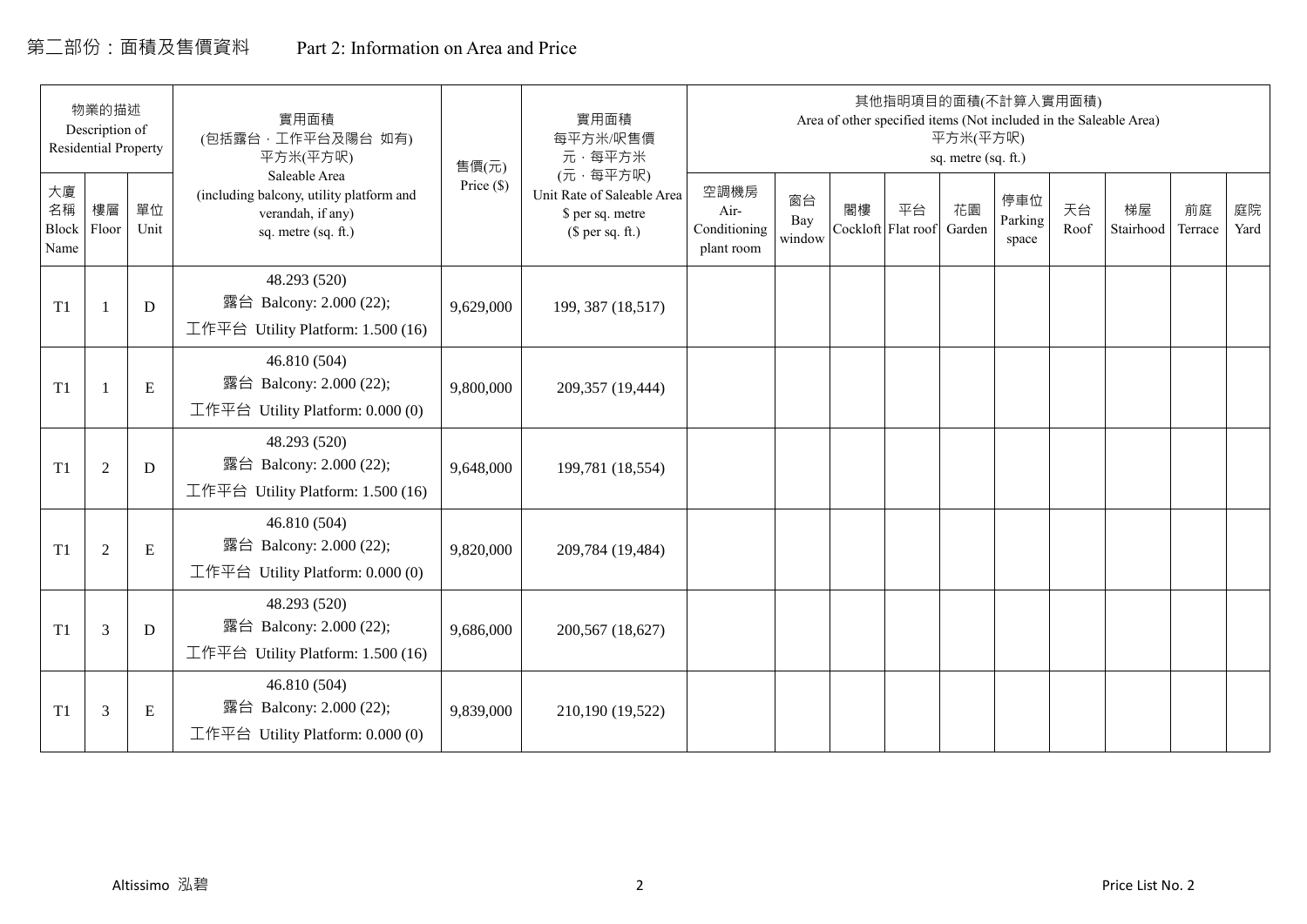## 第二部份:面積及售價資料 Part 2: Information on Area and Price

|                                  | 物業的描述<br>Description of<br><b>Residential Property</b> |            | 實用面積<br>(包括露台,工作平台及陽台 如有)<br>平方米(平方呎)                                                                 | 售價(元)        | 實用面積<br>每平方米/呎售價<br>元·每平方米                                                     |                                            |                     |                          | 其他指明項目的面積(不計算入實用面積)<br>Area of other specified items (Not included in the Saleable Area) | 平方米(平方呎)<br>sq. metre (sq. ft.) |                         |            |                 |               |            |
|----------------------------------|--------------------------------------------------------|------------|-------------------------------------------------------------------------------------------------------|--------------|--------------------------------------------------------------------------------|--------------------------------------------|---------------------|--------------------------|------------------------------------------------------------------------------------------|---------------------------------|-------------------------|------------|-----------------|---------------|------------|
| 大廈<br>名稱<br><b>Block</b><br>Name | 樓層<br>Floor                                            | 單位<br>Unit | Saleable Area<br>(including balcony, utility platform and<br>verandah, if any)<br>sq. metre (sq. ft.) | Price $(\$)$ | (元·每平方呎)<br>Unit Rate of Saleable Area<br>\$ per sq. metre<br>$$$ per sq. ft.) | 空調機房<br>Air-<br>Conditioning<br>plant room | 窗台<br>Bay<br>window | 閣樓<br>Cockloft Flat roof | 平台                                                                                       | 花園<br>Garden                    | 停車位<br>Parking<br>space | 天台<br>Roof | 梯屋<br>Stairhood | 前庭<br>Terrace | 庭院<br>Yard |
| T <sub>1</sub>                   |                                                        | D          | 48.293 (520)<br>露台 Balcony: 2.000 (22);<br>工作平台 Utility Platform: 1.500 (16)                          | 9,629,000    | 199, 387 (18,517)                                                              |                                            |                     |                          |                                                                                          |                                 |                         |            |                 |               |            |
| T1                               | $\mathbf{1}$                                           | E          | 46.810 (504)<br>露台 Balcony: 2.000 (22);<br>工作平台 Utility Platform: $0.000(0)$                          | 9,800,000    | 209,357 (19,444)                                                               |                                            |                     |                          |                                                                                          |                                 |                         |            |                 |               |            |
| T <sub>1</sub>                   | $\overline{2}$                                         | D          | 48.293 (520)<br>露台 Balcony: 2.000 (22);<br>工作平台 Utility Platform: 1.500 (16)                          | 9,648,000    | 199,781 (18,554)                                                               |                                            |                     |                          |                                                                                          |                                 |                         |            |                 |               |            |
| T1                               | $\boldsymbol{2}$                                       | ${\bf E}$  | 46.810 (504)<br>露台 Balcony: 2.000 (22);<br>工作平台 Utility Platform: 0.000 (0)                           | 9,820,000    | 209,784 (19,484)                                                               |                                            |                     |                          |                                                                                          |                                 |                         |            |                 |               |            |
| T1                               | 3                                                      | D          | 48.293 (520)<br>露台 Balcony: 2.000 (22);<br>工作平台 Utility Platform: 1.500 (16)                          | 9,686,000    | 200,567 (18,627)                                                               |                                            |                     |                          |                                                                                          |                                 |                         |            |                 |               |            |
| T1                               | 3                                                      | E          | 46.810 (504)<br>露台 Balcony: 2.000 (22);<br>工作平台 Utility Platform: 0.000 (0)                           | 9,839,000    | 210,190 (19,522)                                                               |                                            |                     |                          |                                                                                          |                                 |                         |            |                 |               |            |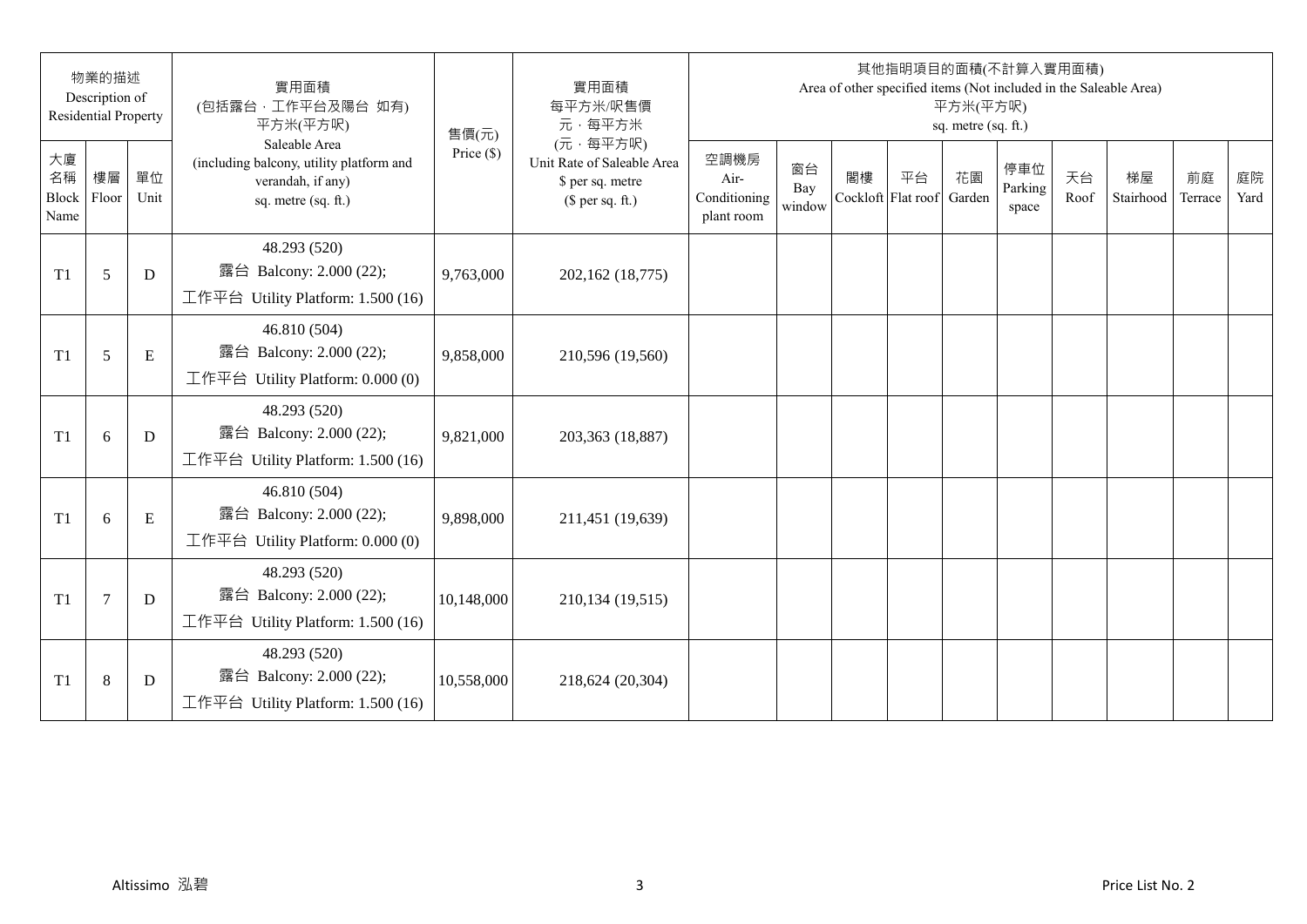|                           | 物業的描述<br>Description of<br><b>Residential Property</b> |            | 實用面積<br>(包括露台,工作平台及陽台 如有)<br>平方米(平方呎)                                                                 | 售價(元)        | 實用面積<br>每平方米/呎售價<br>元·每平方米                                                     |                                            |                     |                          |    | 平方米(平方呎)<br>sq. metre (sq. ft.) | 其他指明項目的面積(不計算入實用面積)     |            | Area of other specified items (Not included in the Saleable Area) |               |            |
|---------------------------|--------------------------------------------------------|------------|-------------------------------------------------------------------------------------------------------|--------------|--------------------------------------------------------------------------------|--------------------------------------------|---------------------|--------------------------|----|---------------------------------|-------------------------|------------|-------------------------------------------------------------------|---------------|------------|
| 大廈<br>名稱<br>Block<br>Name | 樓層<br>Floor                                            | 單位<br>Unit | Saleable Area<br>(including balcony, utility platform and<br>verandah, if any)<br>sq. metre (sq. ft.) | Price $(\$)$ | (元·每平方呎)<br>Unit Rate of Saleable Area<br>\$ per sq. metre<br>(\$ per sq. ft.) | 空調機房<br>Air-<br>Conditioning<br>plant room | 窗台<br>Bay<br>window | 閣樓<br>Cockloft Flat roof | 平台 | 花園<br>Garden                    | 停車位<br>Parking<br>space | 天台<br>Roof | 梯屋<br>Stairhood                                                   | 前庭<br>Terrace | 庭院<br>Yard |
| T <sub>1</sub>            | 5                                                      | D          | 48.293 (520)<br>露台 Balcony: 2.000 (22);<br>工作平台 Utility Platform: 1.500 (16)                          | 9,763,000    | 202,162 (18,775)                                                               |                                            |                     |                          |    |                                 |                         |            |                                                                   |               |            |
| T <sub>1</sub>            | 5                                                      | E          | 46.810 (504)<br>露台 Balcony: 2.000 (22);<br>工作平台 Utility Platform: 0.000 (0)                           | 9,858,000    | 210,596 (19,560)                                                               |                                            |                     |                          |    |                                 |                         |            |                                                                   |               |            |
| T1                        | 6                                                      | D          | 48.293 (520)<br>露台 Balcony: 2.000 (22);<br>工作平台 Utility Platform: 1.500 (16)                          | 9,821,000    | 203,363 (18,887)                                                               |                                            |                     |                          |    |                                 |                         |            |                                                                   |               |            |
| T1                        | 6                                                      | E          | 46.810 (504)<br>露台 Balcony: 2.000 (22);<br>工作平台 Utility Platform: 0.000 (0)                           | 9,898,000    | 211,451 (19,639)                                                               |                                            |                     |                          |    |                                 |                         |            |                                                                   |               |            |
| T1                        | $\overline{7}$                                         | D          | 48.293 (520)<br>露台 Balcony: 2.000 (22);<br>工作平台 Utility Platform: 1.500 (16)                          | 10,148,000   | 210,134 (19,515)                                                               |                                            |                     |                          |    |                                 |                         |            |                                                                   |               |            |
| T <sub>1</sub>            | $\,8\,$                                                | D          | 48.293 (520)<br>露台 Balcony: 2.000 (22);<br>工作平台 Utility Platform: 1.500 (16)                          | 10,558,000   | 218,624 (20,304)                                                               |                                            |                     |                          |    |                                 |                         |            |                                                                   |               |            |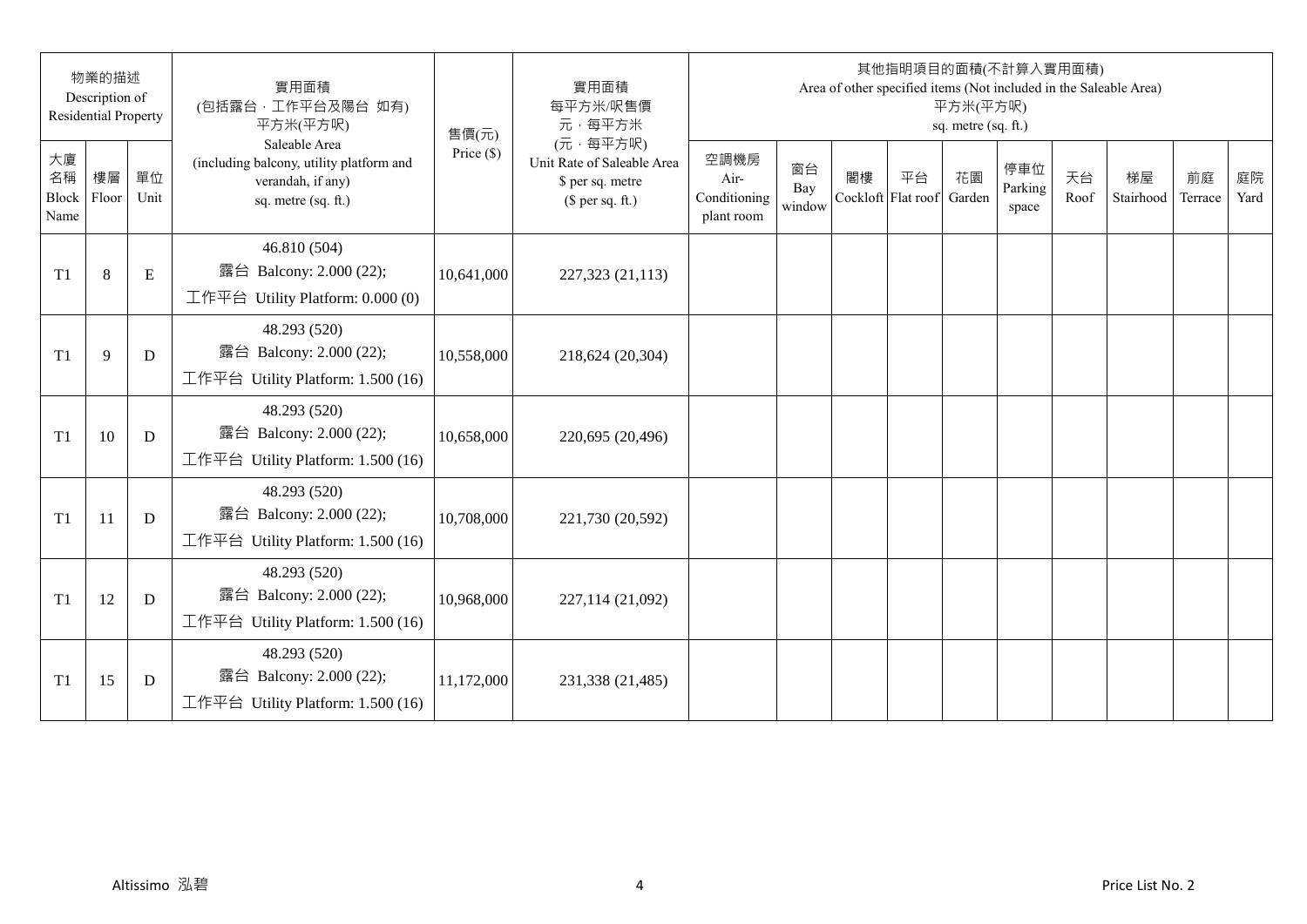|                           | 物業的描述<br>Description of<br><b>Residential Property</b> |            | 實用面積<br>(包括露台,工作平台及陽台 如有)<br>平方米(平方呎)                                                                 | 售價(元)        | 實用面積<br>每平方米/呎售價<br>元·每平方米                                                     |                                            |                     |                          |    | 平方米(平方呎)<br>sq. metre (sq. ft.) | 其他指明項目的面積(不計算入實用面積)     |            | Area of other specified items (Not included in the Saleable Area) |               |            |
|---------------------------|--------------------------------------------------------|------------|-------------------------------------------------------------------------------------------------------|--------------|--------------------------------------------------------------------------------|--------------------------------------------|---------------------|--------------------------|----|---------------------------------|-------------------------|------------|-------------------------------------------------------------------|---------------|------------|
| 大廈<br>名稱<br>Block<br>Name | 樓層<br>Floor                                            | 單位<br>Unit | Saleable Area<br>(including balcony, utility platform and<br>verandah, if any)<br>sq. metre (sq. ft.) | Price $(\$)$ | (元·每平方呎)<br>Unit Rate of Saleable Area<br>\$ per sq. metre<br>$$$ per sq. ft.) | 空調機房<br>Air-<br>Conditioning<br>plant room | 窗台<br>Bay<br>window | 閣樓<br>Cockloft Flat roof | 平台 | 花園<br>Garden                    | 停車位<br>Parking<br>space | 天台<br>Roof | 梯屋<br>Stairhood                                                   | 前庭<br>Terrace | 庭院<br>Yard |
| T <sub>1</sub>            | $8\,$                                                  | ${\bf E}$  | 46.810 (504)<br>露台 Balcony: 2.000 (22);<br>工作平台 Utility Platform: 0.000 (0)                           | 10,641,000   | 227,323 (21,113)                                                               |                                            |                     |                          |    |                                 |                         |            |                                                                   |               |            |
| T <sub>1</sub>            | 9                                                      | D          | 48.293 (520)<br>露台 Balcony: 2.000 (22);<br>工作平台 Utility Platform: 1.500 (16)                          | 10,558,000   | 218,624 (20,304)                                                               |                                            |                     |                          |    |                                 |                         |            |                                                                   |               |            |
| T1                        | 10                                                     | D          | 48.293 (520)<br>露台 Balcony: 2.000 (22);<br>工作平台 Utility Platform: 1.500 (16)                          | 10,658,000   | 220,695 (20,496)                                                               |                                            |                     |                          |    |                                 |                         |            |                                                                   |               |            |
| T <sub>1</sub>            | 11                                                     | D          | 48.293 (520)<br>露台 Balcony: 2.000 (22);<br>工作平台 Utility Platform: 1.500 (16)                          | 10,708,000   | 221,730 (20,592)                                                               |                                            |                     |                          |    |                                 |                         |            |                                                                   |               |            |
| T1                        | 12                                                     | D          | 48.293 (520)<br>露台 Balcony: 2.000 (22);<br>工作平台 Utility Platform: 1.500 (16)                          | 10,968,000   | 227,114 (21,092)                                                               |                                            |                     |                          |    |                                 |                         |            |                                                                   |               |            |
| T <sub>1</sub>            | 15                                                     | D          | 48.293 (520)<br>露台 Balcony: 2.000 (22);<br>工作平台 Utility Platform: 1.500 (16)                          | 11,172,000   | 231,338 (21,485)                                                               |                                            |                     |                          |    |                                 |                         |            |                                                                   |               |            |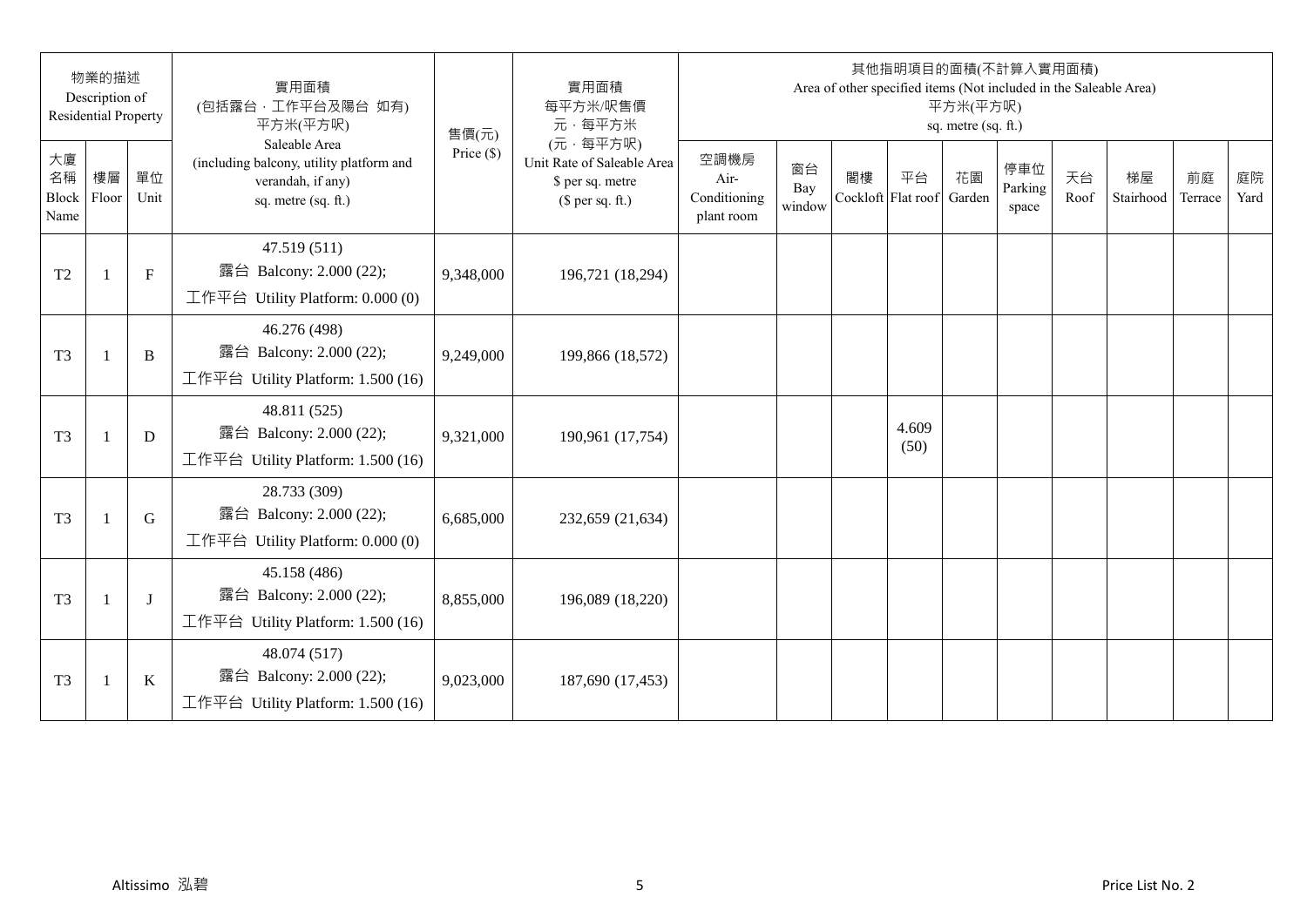|                           | 物業的描述<br>Description of<br><b>Residential Property</b> |             | 實用面積<br>(包括露台,工作平台及陽台 如有)<br>平方米(平方呎)                                                                 | 售價(元)        | 實用面積<br>每平方米/呎售價<br>元·每平方米                                                     |                                            |                     |    |                          | 平方米(平方呎)<br>sq. metre (sq. ft.) | 其他指明項目的面積(不計算入實用面積)<br>Area of other specified items (Not included in the Saleable Area) |            |                 |               |            |
|---------------------------|--------------------------------------------------------|-------------|-------------------------------------------------------------------------------------------------------|--------------|--------------------------------------------------------------------------------|--------------------------------------------|---------------------|----|--------------------------|---------------------------------|------------------------------------------------------------------------------------------|------------|-----------------|---------------|------------|
| 大廈<br>名稱<br>Block<br>Name | 樓層<br>Floor                                            | 單位<br>Unit  | Saleable Area<br>(including balcony, utility platform and<br>verandah, if any)<br>sq. metre (sq. ft.) | Price $(\$)$ | (元·每平方呎)<br>Unit Rate of Saleable Area<br>\$ per sq. metre<br>$$$ per sq. ft.) | 空調機房<br>Air-<br>Conditioning<br>plant room | 窗台<br>Bay<br>window | 閣樓 | 平台<br>Cockloft Flat roof | 花園<br>Garden                    | 停車位<br>Parking<br>space                                                                  | 天台<br>Roof | 梯屋<br>Stairhood | 前庭<br>Terrace | 庭院<br>Yard |
| T <sub>2</sub>            | -1                                                     | $\mathbf F$ | 47.519 (511)<br>露台 Balcony: 2.000 (22);<br>工作平台 Utility Platform: 0.000 (0)                           | 9,348,000    | 196,721 (18,294)                                                               |                                            |                     |    |                          |                                 |                                                                                          |            |                 |               |            |
| T <sub>3</sub>            | 1                                                      | $\bf{B}$    | 46.276 (498)<br>露台 Balcony: 2.000 (22);<br>工作平台 Utility Platform: 1.500 (16)                          | 9,249,000    | 199,866 (18,572)                                                               |                                            |                     |    |                          |                                 |                                                                                          |            |                 |               |            |
| T <sub>3</sub>            | -1                                                     | D           | 48.811 (525)<br>露台 Balcony: 2.000 (22);<br>工作平台 Utility Platform: 1.500 (16)                          | 9,321,000    | 190,961 (17,754)                                                               |                                            |                     |    | 4.609<br>(50)            |                                 |                                                                                          |            |                 |               |            |
| T <sub>3</sub>            | $\mathbf{1}$                                           | G           | 28.733 (309)<br>露台 Balcony: 2.000 (22);<br>工作平台 Utility Platform: 0.000 (0)                           | 6,685,000    | 232,659 (21,634)                                                               |                                            |                     |    |                          |                                 |                                                                                          |            |                 |               |            |
| T <sub>3</sub>            | -1                                                     | J           | 45.158 (486)<br>露台 Balcony: 2.000 (22);<br>工作平台 Utility Platform: 1.500 (16)                          | 8,855,000    | 196,089 (18,220)                                                               |                                            |                     |    |                          |                                 |                                                                                          |            |                 |               |            |
| T <sub>3</sub>            | 1                                                      | $\bf K$     | 48.074 (517)<br>露台 Balcony: 2.000 (22);<br>工作平台 Utility Platform: 1.500 (16)                          | 9,023,000    | 187,690 (17,453)                                                               |                                            |                     |    |                          |                                 |                                                                                          |            |                 |               |            |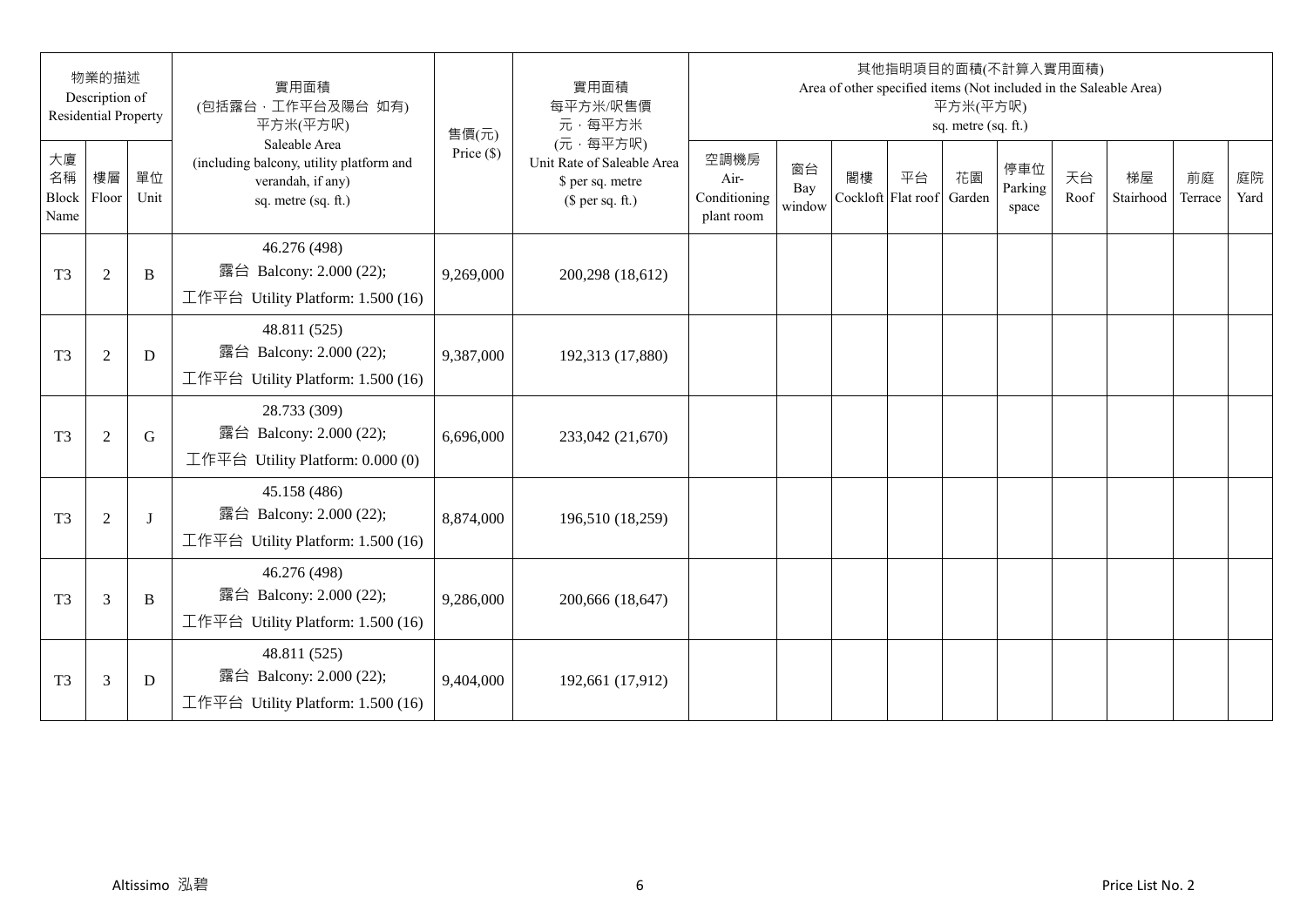|                           | 物業的描述<br>Description of<br><b>Residential Property</b> |            | 實用面積<br>(包括露台,工作平台及陽台 如有)<br>平方米(平方呎)                                                                 | 售價(元)        | 實用面積<br>每平方米/呎售價<br>元·每平方米                                                     |                                            |                     |    | 其他指明項目的面積(不計算入實用面積)<br>Area of other specified items (Not included in the Saleable Area) | 平方米(平方呎)<br>sq. metre (sq. ft.) |                         |            |                 |               |            |
|---------------------------|--------------------------------------------------------|------------|-------------------------------------------------------------------------------------------------------|--------------|--------------------------------------------------------------------------------|--------------------------------------------|---------------------|----|------------------------------------------------------------------------------------------|---------------------------------|-------------------------|------------|-----------------|---------------|------------|
| 大廈<br>名稱<br>Block<br>Name | 樓層<br>Floor                                            | 單位<br>Unit | Saleable Area<br>(including balcony, utility platform and<br>verandah, if any)<br>sq. metre (sq. ft.) | Price $(\$)$ | (元·每平方呎)<br>Unit Rate of Saleable Area<br>\$ per sq. metre<br>$$$ per sq. ft.) | 空調機房<br>Air-<br>Conditioning<br>plant room | 窗台<br>Bay<br>window | 閣樓 | 平台<br>Cockloft Flat roof                                                                 | 花園<br>Garden                    | 停車位<br>Parking<br>space | 天台<br>Roof | 梯屋<br>Stairhood | 前庭<br>Terrace | 庭院<br>Yard |
| T <sub>3</sub>            | $\mathfrak{2}$                                         | B          | 46.276 (498)<br>露台 Balcony: 2.000 (22);<br>工作平台 Utility Platform: 1.500 (16)                          | 9,269,000    | 200,298 (18,612)                                                               |                                            |                     |    |                                                                                          |                                 |                         |            |                 |               |            |
| T <sub>3</sub>            | $\sqrt{2}$                                             | D          | 48.811 (525)<br>露台 Balcony: 2.000 (22);<br>工作平台 Utility Platform: 1.500 (16)                          | 9,387,000    | 192,313 (17,880)                                                               |                                            |                     |    |                                                                                          |                                 |                         |            |                 |               |            |
| T <sub>3</sub>            | $\mathfrak{2}$                                         | G          | 28.733 (309)<br>露台 Balcony: 2.000 (22);<br>工作平台 Utility Platform: 0.000 (0)                           | 6,696,000    | 233,042 (21,670)                                                               |                                            |                     |    |                                                                                          |                                 |                         |            |                 |               |            |
| T <sub>3</sub>            | $\mathfrak{2}$                                         | $\bf{J}$   | 45.158 (486)<br>露台 Balcony: 2.000 (22);<br>工作平台 Utility Platform: 1.500 (16)                          | 8,874,000    | 196,510 (18,259)                                                               |                                            |                     |    |                                                                                          |                                 |                         |            |                 |               |            |
| T <sub>3</sub>            | 3                                                      | B          | 46.276 (498)<br>露台 Balcony: 2.000 (22);<br>工作平台 Utility Platform: 1.500 (16)                          | 9,286,000    | 200,666 (18,647)                                                               |                                            |                     |    |                                                                                          |                                 |                         |            |                 |               |            |
| T <sub>3</sub>            | 3                                                      | D          | 48.811 (525)<br>露台 Balcony: 2.000 (22);<br>工作平台 Utility Platform: 1.500 (16)                          | 9,404,000    | 192,661 (17,912)                                                               |                                            |                     |    |                                                                                          |                                 |                         |            |                 |               |            |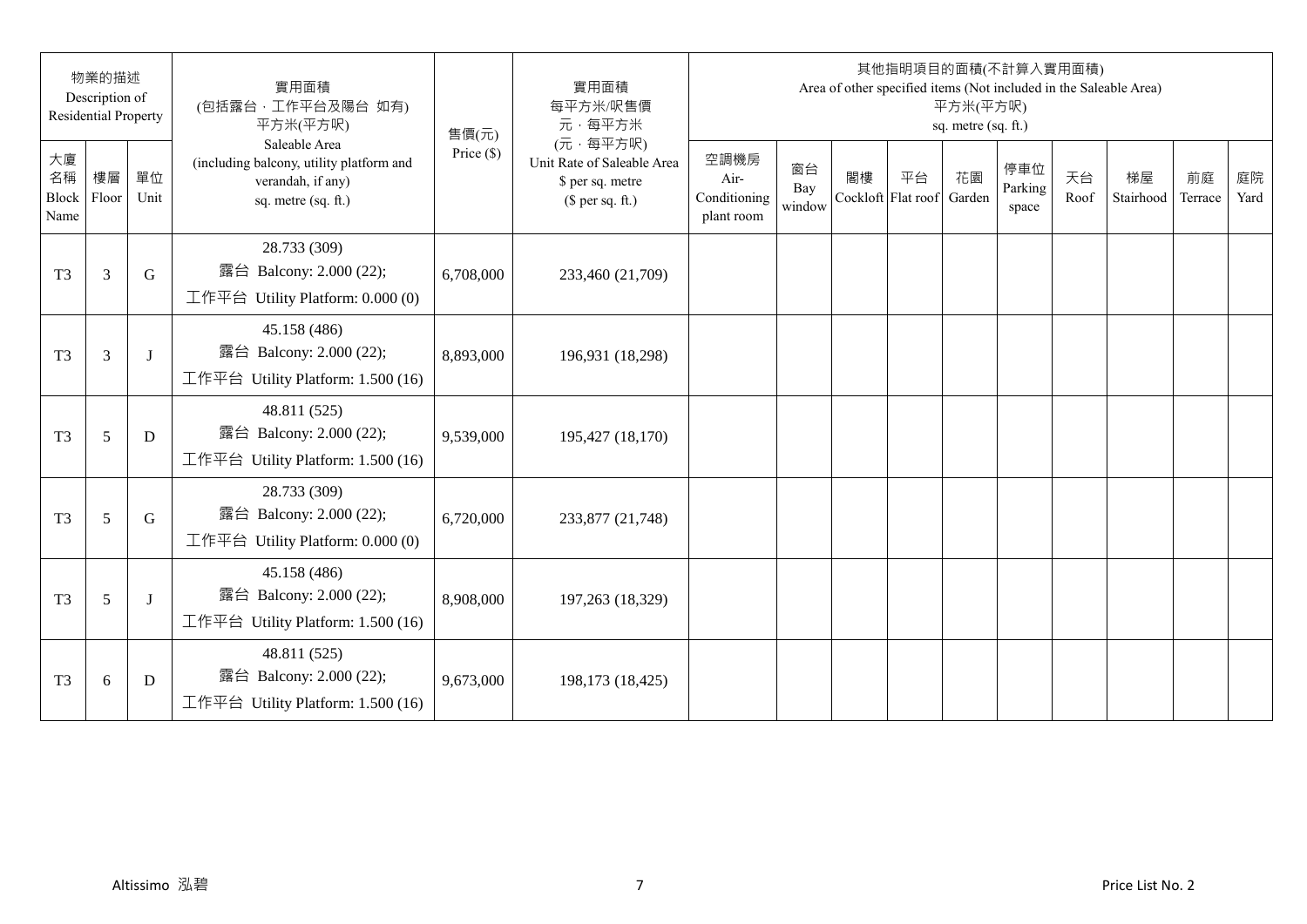|                           | 物業的描述<br>Description of<br><b>Residential Property</b> |             | 實用面積<br>(包括露台,工作平台及陽台 如有)<br>平方米(平方呎)                                                                 | 售價(元)        | 實用面積<br>每平方米/呎售價<br>元·每平方米                                                     |                                            |                     |                          |    | 平方米(平方呎)<br>sq. metre (sq. ft.) | 其他指明項目的面積(不計算入實用面積)     |            | Area of other specified items (Not included in the Saleable Area) |               |            |
|---------------------------|--------------------------------------------------------|-------------|-------------------------------------------------------------------------------------------------------|--------------|--------------------------------------------------------------------------------|--------------------------------------------|---------------------|--------------------------|----|---------------------------------|-------------------------|------------|-------------------------------------------------------------------|---------------|------------|
| 大廈<br>名稱<br>Block<br>Name | 樓層<br>Floor                                            | 單位<br>Unit  | Saleable Area<br>(including balcony, utility platform and<br>verandah, if any)<br>sq. metre (sq. ft.) | Price $(\$)$ | (元·每平方呎)<br>Unit Rate of Saleable Area<br>\$ per sq. metre<br>$$$ per sq. ft.) | 空調機房<br>Air-<br>Conditioning<br>plant room | 窗台<br>Bay<br>window | 閣樓<br>Cockloft Flat roof | 平台 | 花園<br>Garden                    | 停車位<br>Parking<br>space | 天台<br>Roof | 梯屋<br>Stairhood                                                   | 前庭<br>Terrace | 庭院<br>Yard |
| T <sub>3</sub>            | 3                                                      | G           | 28.733 (309)<br>露台 Balcony: 2.000 (22);<br>工作平台 Utility Platform: 0.000 (0)                           | 6,708,000    | 233,460 (21,709)                                                               |                                            |                     |                          |    |                                 |                         |            |                                                                   |               |            |
| T <sub>3</sub>            | 3                                                      | J           | 45.158 (486)<br>露台 Balcony: 2.000 (22);<br>工作平台 Utility Platform: 1.500 (16)                          | 8,893,000    | 196,931 (18,298)                                                               |                                            |                     |                          |    |                                 |                         |            |                                                                   |               |            |
| T <sub>3</sub>            | 5                                                      | D           | 48.811 (525)<br>露台 Balcony: 2.000 (22);<br>工作平台 Utility Platform: 1.500 (16)                          | 9,539,000    | 195,427 (18,170)                                                               |                                            |                     |                          |    |                                 |                         |            |                                                                   |               |            |
| T <sub>3</sub>            | 5                                                      | $\mathbf G$ | 28.733 (309)<br>露台 Balcony: 2.000 (22);<br>工作平台 Utility Platform: 0.000 (0)                           | 6,720,000    | 233,877 (21,748)                                                               |                                            |                     |                          |    |                                 |                         |            |                                                                   |               |            |
| T <sub>3</sub>            | 5                                                      | J           | 45.158 (486)<br>露台 Balcony: 2.000 (22);<br>工作平台 Utility Platform: 1.500 (16)                          | 8,908,000    | 197,263 (18,329)                                                               |                                            |                     |                          |    |                                 |                         |            |                                                                   |               |            |
| T <sub>3</sub>            | 6                                                      | D           | 48.811 (525)<br>露台 Balcony: 2.000 (22);<br>工作平台 Utility Platform: 1.500 (16)                          | 9,673,000    | 198,173 (18,425)                                                               |                                            |                     |                          |    |                                 |                         |            |                                                                   |               |            |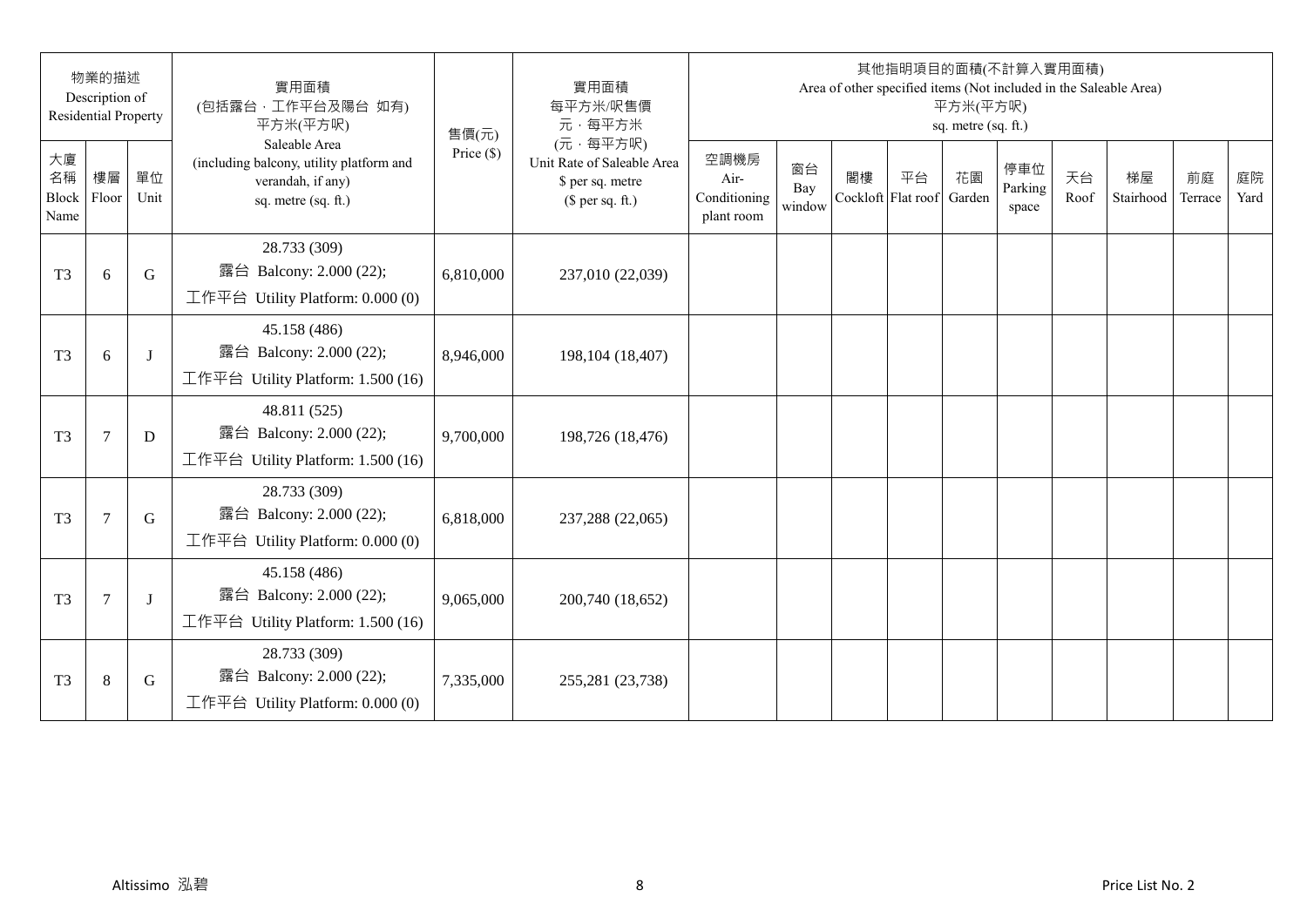|                           | 物業的描述<br>Description of<br><b>Residential Property</b> |             | 實用面積<br>(包括露台,工作平台及陽台 如有)<br>平方米(平方呎)                                                                 | 售價(元)        | 實用面積<br>每平方米/呎售價<br>元·每平方米                                                     |                                            |                     |                          |    | 平方米(平方呎)<br>sq. metre (sq. ft.) | 其他指明項目的面積(不計算入實用面積)     |            | Area of other specified items (Not included in the Saleable Area) |               |            |
|---------------------------|--------------------------------------------------------|-------------|-------------------------------------------------------------------------------------------------------|--------------|--------------------------------------------------------------------------------|--------------------------------------------|---------------------|--------------------------|----|---------------------------------|-------------------------|------------|-------------------------------------------------------------------|---------------|------------|
| 大廈<br>名稱<br>Block<br>Name | 樓層<br>Floor                                            | 單位<br>Unit  | Saleable Area<br>(including balcony, utility platform and<br>verandah, if any)<br>sq. metre (sq. ft.) | Price $(\$)$ | (元·每平方呎)<br>Unit Rate of Saleable Area<br>\$ per sq. metre<br>$$$ per sq. ft.) | 空調機房<br>Air-<br>Conditioning<br>plant room | 窗台<br>Bay<br>window | 閣樓<br>Cockloft Flat roof | 平台 | 花園<br>Garden                    | 停車位<br>Parking<br>space | 天台<br>Roof | 梯屋<br>Stairhood                                                   | 前庭<br>Terrace | 庭院<br>Yard |
| T <sub>3</sub>            | 6                                                      | G           | 28.733 (309)<br>露台 Balcony: 2.000 (22);<br>工作平台 Utility Platform: 0.000 (0)                           | 6,810,000    | 237,010 (22,039)                                                               |                                            |                     |                          |    |                                 |                         |            |                                                                   |               |            |
| T <sub>3</sub>            | 6                                                      | J           | 45.158 (486)<br>露台 Balcony: 2.000 (22);<br>工作平台 Utility Platform: 1.500 (16)                          | 8,946,000    | 198,104 (18,407)                                                               |                                            |                     |                          |    |                                 |                         |            |                                                                   |               |            |
| T <sub>3</sub>            | $\tau$                                                 | D           | 48.811 (525)<br>露台 Balcony: 2.000 (22);<br>工作平台 Utility Platform: 1.500 (16)                          | 9,700,000    | 198,726 (18,476)                                                               |                                            |                     |                          |    |                                 |                         |            |                                                                   |               |            |
| T <sub>3</sub>            | $\tau$                                                 | $\mathbf G$ | 28.733 (309)<br>露台 Balcony: 2.000 (22);<br>工作平台 Utility Platform: 0.000 (0)                           | 6,818,000    | 237,288 (22,065)                                                               |                                            |                     |                          |    |                                 |                         |            |                                                                   |               |            |
| T <sub>3</sub>            | $\overline{7}$                                         | J           | 45.158 (486)<br>露台 Balcony: 2.000 (22);<br>工作平台 Utility Platform: 1.500 (16)                          | 9,065,000    | 200,740 (18,652)                                                               |                                            |                     |                          |    |                                 |                         |            |                                                                   |               |            |
| T <sub>3</sub>            | $8\,$                                                  | G           | 28.733 (309)<br>露台 Balcony: 2.000 (22);<br>工作平台 Utility Platform: 0.000 (0)                           | 7,335,000    | 255,281 (23,738)                                                               |                                            |                     |                          |    |                                 |                         |            |                                                                   |               |            |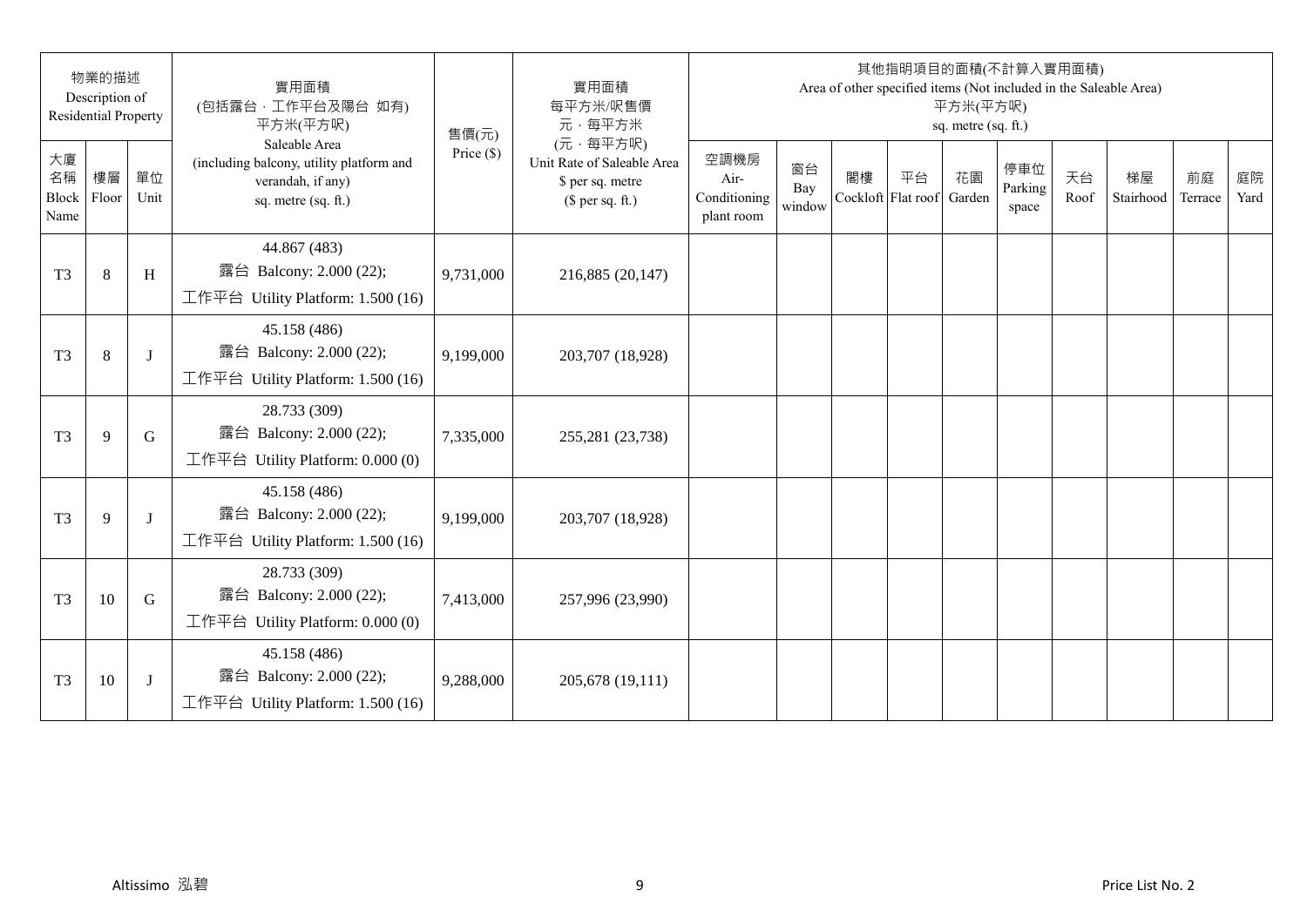|                           | 物業的描述<br>Description of<br><b>Residential Property</b> |            | 實用面積<br>(包括露台,工作平台及陽台 如有)<br>平方米(平方呎)                                                                 | 售價(元)        | 實用面積<br>每平方米/呎售價<br>元·每平方米                                                     |                                            |                     |                          |    | 平方米(平方呎)<br>sq. metre (sq. ft.) | 其他指明項目的面積(不計算入實用面積)     |            | Area of other specified items (Not included in the Saleable Area) |               |            |
|---------------------------|--------------------------------------------------------|------------|-------------------------------------------------------------------------------------------------------|--------------|--------------------------------------------------------------------------------|--------------------------------------------|---------------------|--------------------------|----|---------------------------------|-------------------------|------------|-------------------------------------------------------------------|---------------|------------|
| 大廈<br>名稱<br>Block<br>Name | 樓層<br>Floor                                            | 單位<br>Unit | Saleable Area<br>(including balcony, utility platform and<br>verandah, if any)<br>sq. metre (sq. ft.) | Price $(\$)$ | (元·每平方呎)<br>Unit Rate of Saleable Area<br>\$ per sq. metre<br>$$$ per sq. ft.) | 空調機房<br>Air-<br>Conditioning<br>plant room | 窗台<br>Bay<br>window | 閣樓<br>Cockloft Flat roof | 平台 | 花園<br>Garden                    | 停車位<br>Parking<br>space | 天台<br>Roof | 梯屋<br>Stairhood                                                   | 前庭<br>Terrace | 庭院<br>Yard |
| T <sub>3</sub>            | $8\,$                                                  | H          | 44.867 (483)<br>露台 Balcony: 2.000 (22);<br>工作平台 Utility Platform: 1.500 (16)                          | 9,731,000    | 216,885 (20,147)                                                               |                                            |                     |                          |    |                                 |                         |            |                                                                   |               |            |
| T <sub>3</sub>            | $\,8\,$                                                | J          | 45.158 (486)<br>露台 Balcony: 2.000 (22);<br>工作平台 Utility Platform: 1.500 (16)                          | 9,199,000    | 203,707 (18,928)                                                               |                                            |                     |                          |    |                                 |                         |            |                                                                   |               |            |
| T <sub>3</sub>            | 9                                                      | G          | 28.733 (309)<br>露台 Balcony: 2.000 (22);<br>工作平台 Utility Platform: 0.000 (0)                           | 7,335,000    | 255,281 (23,738)                                                               |                                            |                     |                          |    |                                 |                         |            |                                                                   |               |            |
| T <sub>3</sub>            | 9                                                      | J          | 45.158 (486)<br>露台 Balcony: 2.000 (22);<br>工作平台 Utility Platform: 1.500 (16)                          | 9,199,000    | 203,707 (18,928)                                                               |                                            |                     |                          |    |                                 |                         |            |                                                                   |               |            |
| T <sub>3</sub>            | 10                                                     | G          | 28.733 (309)<br>露台 Balcony: 2.000 (22);<br>工作平台 Utility Platform: $0.000(0)$                          | 7,413,000    | 257,996 (23,990)                                                               |                                            |                     |                          |    |                                 |                         |            |                                                                   |               |            |
| T <sub>3</sub>            | 10                                                     | J          | 45.158 (486)<br>露台 Balcony: 2.000 (22);<br>工作平台 Utility Platform: 1.500 (16)                          | 9,288,000    | 205,678 (19,111)                                                               |                                            |                     |                          |    |                                 |                         |            |                                                                   |               |            |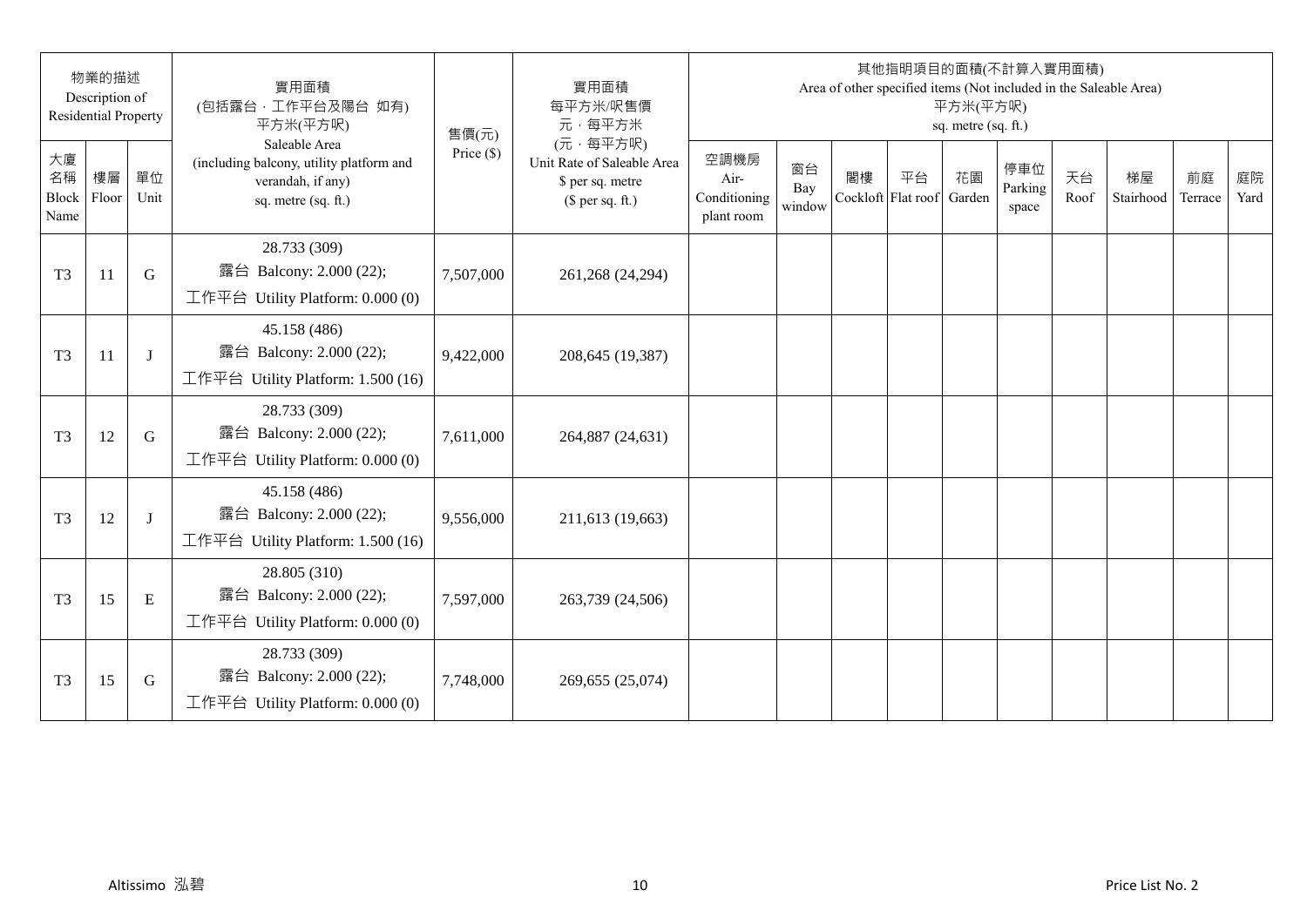|                           | 物業的描述<br>Description of<br><b>Residential Property</b> |             | 實用面積<br>(包括露台,工作平台及陽台 如有)<br>平方米(平方呎)                                                                 | 售價(元)        | 實用面積<br>每平方米/呎售價<br>元·每平方米                                                     |                                            |                     |                          |    | 平方米(平方呎)<br>sq. metre (sq. ft.) | 其他指明項目的面積(不計算入實用面積)     |            | Area of other specified items (Not included in the Saleable Area) |               |            |
|---------------------------|--------------------------------------------------------|-------------|-------------------------------------------------------------------------------------------------------|--------------|--------------------------------------------------------------------------------|--------------------------------------------|---------------------|--------------------------|----|---------------------------------|-------------------------|------------|-------------------------------------------------------------------|---------------|------------|
| 大廈<br>名稱<br>Block<br>Name | 樓層<br>Floor                                            | 單位<br>Unit  | Saleable Area<br>(including balcony, utility platform and<br>verandah, if any)<br>sq. metre (sq. ft.) | Price $(\$)$ | (元·每平方呎)<br>Unit Rate of Saleable Area<br>\$ per sq. metre<br>$$$ per sq. ft.) | 空調機房<br>Air-<br>Conditioning<br>plant room | 窗台<br>Bay<br>window | 閣樓<br>Cockloft Flat roof | 平台 | 花園<br>Garden                    | 停車位<br>Parking<br>space | 天台<br>Roof | 梯屋<br>Stairhood                                                   | 前庭<br>Terrace | 庭院<br>Yard |
| T <sub>3</sub>            | 11                                                     | $\mathbf G$ | 28.733 (309)<br>露台 Balcony: 2.000 (22);<br>工作平台 Utility Platform: 0.000 (0)                           | 7,507,000    | 261,268 (24,294)                                                               |                                            |                     |                          |    |                                 |                         |            |                                                                   |               |            |
| T <sub>3</sub>            | 11                                                     | J           | 45.158 (486)<br>露台 Balcony: 2.000 (22);<br>工作平台 Utility Platform: 1.500 (16)                          | 9,422,000    | 208,645 (19,387)                                                               |                                            |                     |                          |    |                                 |                         |            |                                                                   |               |            |
| T <sub>3</sub>            | 12                                                     | G           | 28.733 (309)<br>露台 Balcony: 2.000 (22);<br>工作平台 Utility Platform: $0.000(0)$                          | 7,611,000    | 264,887 (24,631)                                                               |                                            |                     |                          |    |                                 |                         |            |                                                                   |               |            |
| T <sub>3</sub>            | 12                                                     | J           | 45.158 (486)<br>露台 Balcony: 2.000 (22);<br>工作平台 Utility Platform: 1.500 (16)                          | 9,556,000    | 211,613 (19,663)                                                               |                                            |                     |                          |    |                                 |                         |            |                                                                   |               |            |
| T <sub>3</sub>            | 15                                                     | ${\bf E}$   | 28.805 (310)<br>露台 Balcony: 2.000 (22);<br>工作平台 Utility Platform: 0.000 (0)                           | 7,597,000    | 263,739 (24,506)                                                               |                                            |                     |                          |    |                                 |                         |            |                                                                   |               |            |
| T <sub>3</sub>            | 15                                                     | G           | 28.733 (309)<br>露台 Balcony: 2.000 (22);<br>工作平台 Utility Platform: 0.000 (0)                           | 7,748,000    | 269,655 (25,074)                                                               |                                            |                     |                          |    |                                 |                         |            |                                                                   |               |            |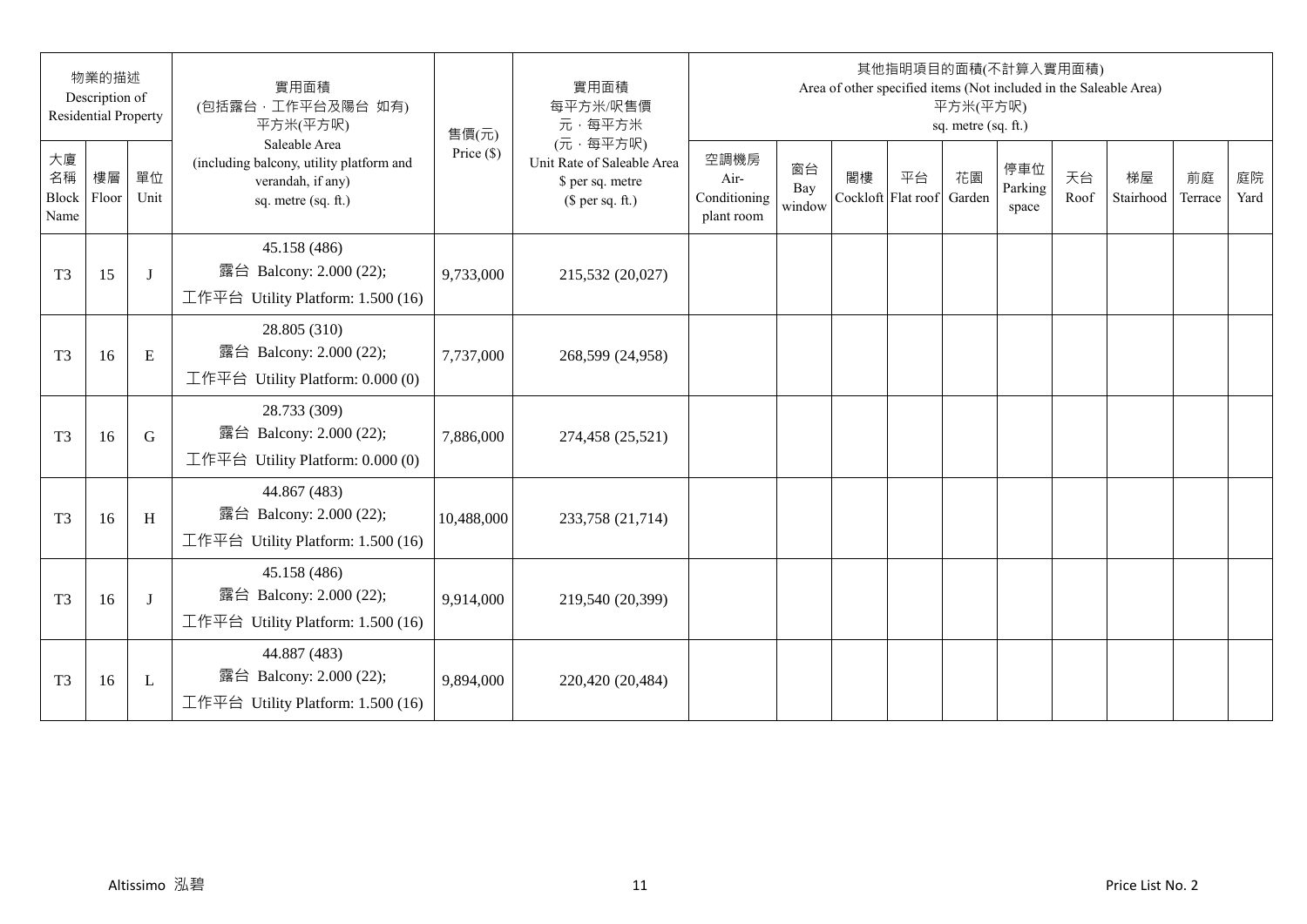| 物業的描述<br>Description of<br><b>Residential Property</b> |             | 實用面積<br>(包括露台,工作平台及陽台 如有)<br>平方米(平方呎) | 售價(元)                                                                                                 | 實用面積<br>每平方米/呎售價<br>元·每平方米 | 其他指明項目的面積(不計算入實用面積)<br>Area of other specified items (Not included in the Saleable Area)<br>平方米(平方呎)<br>sq. metre (sq. ft.) |                                            |                     |                          |    |              |                         |            |                 |               |            |
|--------------------------------------------------------|-------------|---------------------------------------|-------------------------------------------------------------------------------------------------------|----------------------------|-----------------------------------------------------------------------------------------------------------------------------|--------------------------------------------|---------------------|--------------------------|----|--------------|-------------------------|------------|-----------------|---------------|------------|
| 大廈<br>名稱<br>Block<br>Name                              | 樓層<br>Floor | 單位<br>Unit                            | Saleable Area<br>(including balcony, utility platform and<br>verandah, if any)<br>sq. metre (sq. ft.) | Price $(\$)$               | (元·每平方呎)<br>Unit Rate of Saleable Area<br>\$ per sq. metre<br>$$$ per sq. ft.)                                              | 空調機房<br>Air-<br>Conditioning<br>plant room | 窗台<br>Bay<br>window | 閣樓<br>Cockloft Flat roof | 平台 | 花園<br>Garden | 停車位<br>Parking<br>space | 天台<br>Roof | 梯屋<br>Stairhood | 前庭<br>Terrace | 庭院<br>Yard |
| T <sub>3</sub>                                         | 15          | J                                     | 45.158 (486)<br>露台 Balcony: 2.000 (22);<br>工作平台 Utility Platform: 1.500 (16)                          | 9,733,000                  | 215,532 (20,027)                                                                                                            |                                            |                     |                          |    |              |                         |            |                 |               |            |
| T <sub>3</sub>                                         | 16          | ${\bf E}$                             | 28.805 (310)<br>露台 Balcony: 2.000 (22);<br>工作平台 Utility Platform: 0.000 (0)                           | 7,737,000                  | 268,599 (24,958)                                                                                                            |                                            |                     |                          |    |              |                         |            |                 |               |            |
| T <sub>3</sub>                                         | 16          | G                                     | 28.733 (309)<br>露台 Balcony: 2.000 (22);<br>工作平台 Utility Platform: 0.000 (0)                           | 7,886,000                  | 274,458 (25,521)                                                                                                            |                                            |                     |                          |    |              |                         |            |                 |               |            |
| T <sub>3</sub>                                         | 16          | H                                     | 44.867 (483)<br>露台 Balcony: 2.000 (22);<br>工作平台 Utility Platform: 1.500 (16)                          | 10,488,000                 | 233,758 (21,714)                                                                                                            |                                            |                     |                          |    |              |                         |            |                 |               |            |
| T <sub>3</sub>                                         | 16          | J                                     | 45.158 (486)<br>露台 Balcony: 2.000 (22);<br>工作平台 Utility Platform: 1.500 (16)                          | 9,914,000                  | 219,540 (20,399)                                                                                                            |                                            |                     |                          |    |              |                         |            |                 |               |            |
| T <sub>3</sub>                                         | 16          | L                                     | 44.887 (483)<br>露台 Balcony: 2.000 (22);<br>工作平台 Utility Platform: 1.500 (16)                          | 9,894,000                  | 220,420 (20,484)                                                                                                            |                                            |                     |                          |    |              |                         |            |                 |               |            |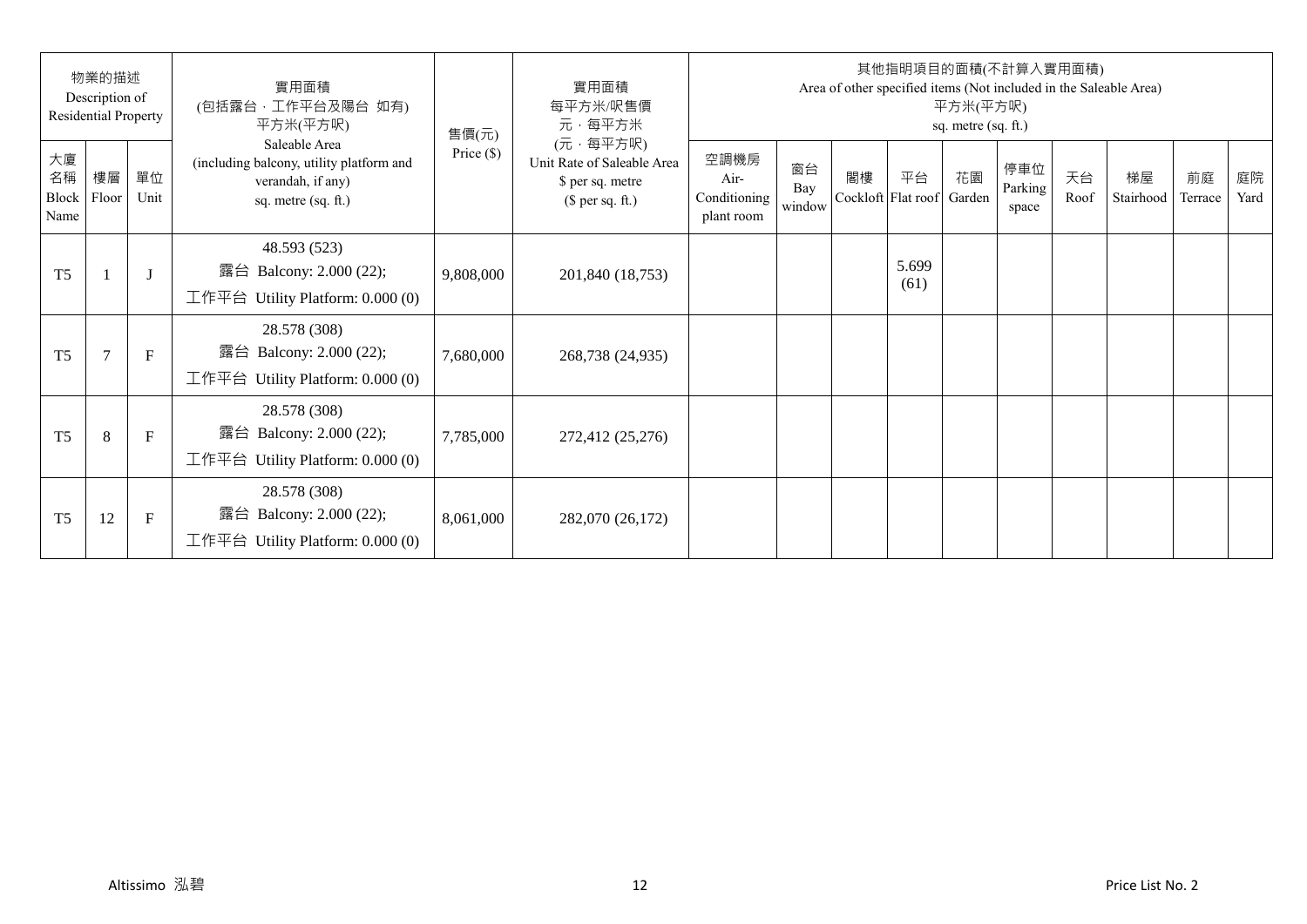| 物業的描述<br>Description of<br><b>Residential Property</b> |             |              | 實用面積<br>(包括露台,工作平台及陽台 如有)<br>平方米(平方呎)                                                                 | 售價(元)        | 實用面積<br>每平方米/呎售價<br>元·每平方米                                                     | 其他指明項目的面積(不計算入實用面積)<br>Area of other specified items (Not included in the Saleable Area)<br>平方米(平方呎)<br>sq. metre (sq. ft.) |                     |    |                          |              |                         |            |                 |               |            |  |
|--------------------------------------------------------|-------------|--------------|-------------------------------------------------------------------------------------------------------|--------------|--------------------------------------------------------------------------------|-----------------------------------------------------------------------------------------------------------------------------|---------------------|----|--------------------------|--------------|-------------------------|------------|-----------------|---------------|------------|--|
| 大廈<br>名稱<br>Block<br>Name                              | 樓層<br>Floor | 單位<br>Unit   | Saleable Area<br>(including balcony, utility platform and<br>verandah, if any)<br>sq. metre (sq. ft.) | Price $(\$)$ | (元·每平方呎)<br>Unit Rate of Saleable Area<br>\$ per sq. metre<br>$$$ per sq. ft.) | 空調機房<br>Air-<br>Conditioning<br>plant room                                                                                  | 窗台<br>Bay<br>window | 閣樓 | 平台<br>Cockloft Flat roof | 花園<br>Garden | 停車位<br>Parking<br>space | 天台<br>Roof | 梯屋<br>Stairhood | 前庭<br>Terrace | 庭院<br>Yard |  |
| T <sub>5</sub>                                         |             |              | 48.593 (523)<br>露台 Balcony: 2.000 (22);<br>工作平台 Utility Platform: 0.000 (0)                           | 9,808,000    | 201,840 (18,753)                                                               |                                                                                                                             |                     |    | 5.699<br>(61)            |              |                         |            |                 |               |            |  |
| T <sub>5</sub>                                         | $\tau$      | $\mathbf{F}$ | 28.578 (308)<br>露台 Balcony: 2.000 (22);<br>工作平台 Utility Platform: 0.000 (0)                           | 7,680,000    | 268,738 (24,935)                                                               |                                                                                                                             |                     |    |                          |              |                         |            |                 |               |            |  |
| T <sub>5</sub>                                         | 8           | $\mathbf F$  | 28.578 (308)<br>露台 Balcony: 2.000 (22);<br>工作平台 Utility Platform: 0.000 (0)                           | 7,785,000    | 272,412 (25,276)                                                               |                                                                                                                             |                     |    |                          |              |                         |            |                 |               |            |  |
| T <sub>5</sub>                                         | 12          | $\mathbf F$  | 28.578 (308)<br>露台 Balcony: 2.000 (22);<br>工作平台 Utility Platform: $0.000(0)$                          | 8,061,000    | 282,070 (26,172)                                                               |                                                                                                                             |                     |    |                          |              |                         |            |                 |               |            |  |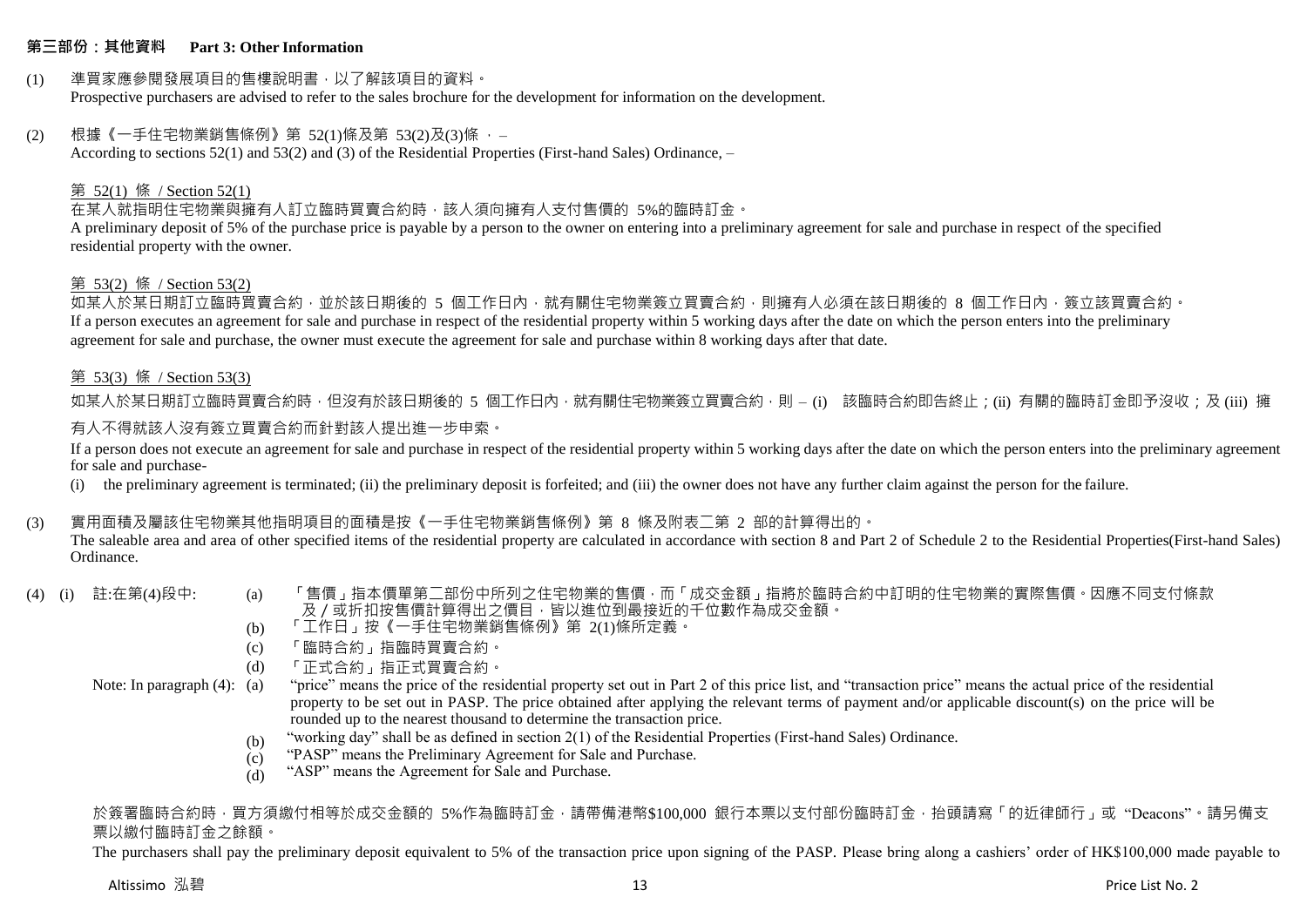#### **第三部份:其他資料 Part 3: Other Information**

#### (1) 準買家應參閱發展項目的售樓說明書,以了解該項目的資料。 Prospective purchasers are advised to refer to the sales brochure for the development for information on the development.

#### (2) 根據《一手住宅物業銷售條例》第 52(1)條及第 53(2)及(3)條 ,– According to sections 52(1) and 53(2) and (3) of the Residential Properties (First-hand Sales) Ordinance, –

## 第 52(1) 條 / Section 52(1)

## 在某人就指明住宅物業與擁有人訂立臨時買賣合約時,該人須向擁有人支付售價的 5%的臨時訂金。

A preliminary deposit of 5% of the purchase price is payable by a person to the owner on entering into a preliminary agreement for sale and purchase in respect of the specified residential property with the owner.

## 第 53(2) 條 / Section 53(2)

如某人於某日期訂立臨時買賣合約,並於該日期後的 5 個工作日內,就有關住宅物業簽立買賣合約,則擁有人必須在該日期後的 8 個工作日內,簽立該買賣合約。 If a person executes an agreement for sale and purchase in respect of the residential property within 5 working days after the date on which the person enters into the preliminary agreement for sale and purchase, the owner must execute the agreement for sale and purchase within 8 working days after that date.

#### 第 53(3) 條 / Section 53(3)

如某人於某日期訂立臨時買賣合約時,但沒有於該日期後的 5 個工作日內,就有關住宅物業簽立買賣合約,則 – (i) 該臨時合約即告終止;(ii) 有關的臨時訂金即予沒收;及 (iii) 擁

## 有人不得就該人沒有簽立買賣合約而針對該人提出進一步申索。

If a person does not execute an agreement for sale and purchase in respect of the residential property within 5 working days after the date on which the person enters into the preliminary agreement for sale and purchase-

(i) the preliminary agreement is terminated; (ii) the preliminary deposit is forfeited; and (iii) the owner does not have any further claim against the person for the failure.

### (3) 實用面積及屬該住宅物業其他指明項目的面積是按《一手住宅物業銷售條例》第 8 條及附表二第 2 部的計算得出的。

The saleable area and area of other specified items of the residential property are calculated in accordance with section 8 and Part 2 of Schedule 2 to the Residential Properties(First-hand Sales) Ordinance.

- 
- (4) (i) 註:在第(4)段中: (a) 「售價」指本價單第二部份中所列之住宅物業的售價,而「成交金額」指將於臨時合約中訂明的住宅物業的實際售價。因應不同支付條款 及/或折扣按售價計算得出之價目,皆以進位到最接近的千位數作為成交金額。
	- (b) 「工作日」按《一手住宅物業銷售條例》第 2(1)條所定義。
	- (c) 「臨時合約」指臨時買賣合約。
	- (d) 「正式合約」指正式買賣合約。
	- Note: In paragraph (4): (a) "price" means the price of the residential property set out in Part 2 of this price list, and "transaction price" means the actual price of the residential property to be set out in PASP. The price obtained after applying the relevant terms of payment and/or applicable discount(s) on the price will be rounded up to the nearest thousand to determine the transaction price.
		- (b) "working day" shall be as defined in section 2(1) of the Residential Properties (First-hand Sales) Ordinance.
		- $(c)$ "PASP" means the Preliminary Agreement for Sale and Purchase.
		- (d) "ASP" means the Agreement for Sale and Purchase.

於簽署臨時合約時,買方須繳付相等於成交金額的 5%作為臨時訂金,請帶備港幣\$100,000 銀行本票以支付部份臨時訂金,抬頭請寫「的近律師行」或"Deacons"。請另備支 票以繳付臨時訂金之餘額。

The purchasers shall pay the preliminary deposit equivalent to 5% of the transaction price upon signing of the PASP. Please bring along a cashiers' order of HK\$100,000 made payable to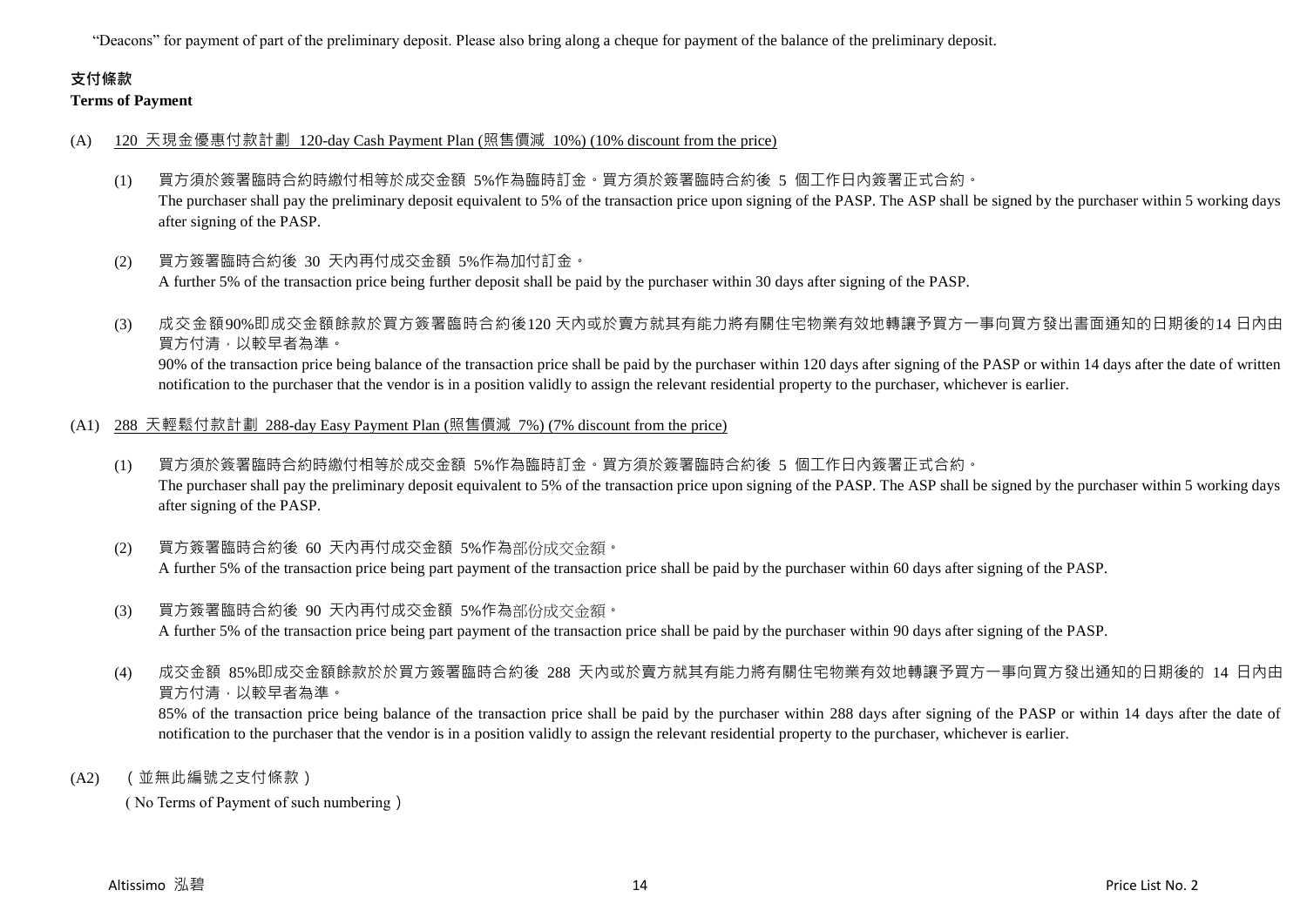"Deacons" for payment of part of the preliminary deposit. Please also bring along a cheque for payment of the balance of the preliminary deposit.

## **支付條款**

#### **Terms of Payment**

#### (A) 120 天現金優惠付款計劃 120-day Cash Payment Plan (照售價減 10%) (10% discount from the price)

- (1) 買方須於簽署臨時合約時繳付相等於成交金額 5%作為臨時訂金。買方須於簽署臨時合約後 5 個工作日內簽署正式合約。 The purchaser shall pay the preliminary deposit equivalent to 5% of the transaction price upon signing of the PASP. The ASP shall be signed by the purchaser within 5 working days after signing of the PASP.
- (2) 買方簽署臨時合約後 30 天內再付成交金額 5%作為加付訂金。 A further 5% of the transaction price being further deposit shall be paid by the purchaser within 30 days after signing of the PASP.
- (3) 成交金額90%即成交金額餘款於買方簽署臨時合約後120 天內或於賣方就其有能力將有關住宅物業有效地轉讓予買方一事向買方發出書面通知的日期後的14 日內由 買方付清,以較早者為準。

90% of the transaction price being balance of the transaction price shall be paid by the purchaser within 120 days after signing of the PASP or within 14 days after the date of written notification to the purchaser that the vendor is in a position validly to assign the relevant residential property to the purchaser, whichever is earlier.

#### (A1) 288 天輕鬆付款計劃 288-day Easy Payment Plan (照售價減 7%) (7% discount from the price)

- (1) 買方須於簽署臨時合約時繳付相等於成交金額 5%作為臨時訂金。買方須於簽署臨時合約後 5 個工作日內簽署正式合約。 The purchaser shall pay the preliminary deposit equivalent to 5% of the transaction price upon signing of the PASP. The ASP shall be signed by the purchaser within 5 working days after signing of the PASP.
- (2) 買方簽署臨時合約後 60 天內再付成交金額 5%作為部份成交金額。 A further 5% of the transaction price being part payment of the transaction price shall be paid by the purchaser within 60 days after signing of the PASP.
- (3) 買方簽署臨時合約後 90 天內再付成交金額 5%作為部份成交金額。 A further 5% of the transaction price being part payment of the transaction price shall be paid by the purchaser within 90 days after signing of the PASP.
- (4) 成交金額 85%即成交金額餘款於於買方簽署臨時合約後 288 天內或於賣方就其有能力將有關住宅物業有效地轉讓予買方一事向買方發出通知的日期後的 14 日內由 買方付清,以較早者為準。

85% of the transaction price being balance of the transaction price shall be paid by the purchaser within 288 days after signing of the PASP or within 14 days after the date of notification to the purchaser that the vendor is in a position validly to assign the relevant residential property to the purchaser, whichever is earlier.

(A2) (並無此編號之支付條款)

( No Terms of Payment of such numbering)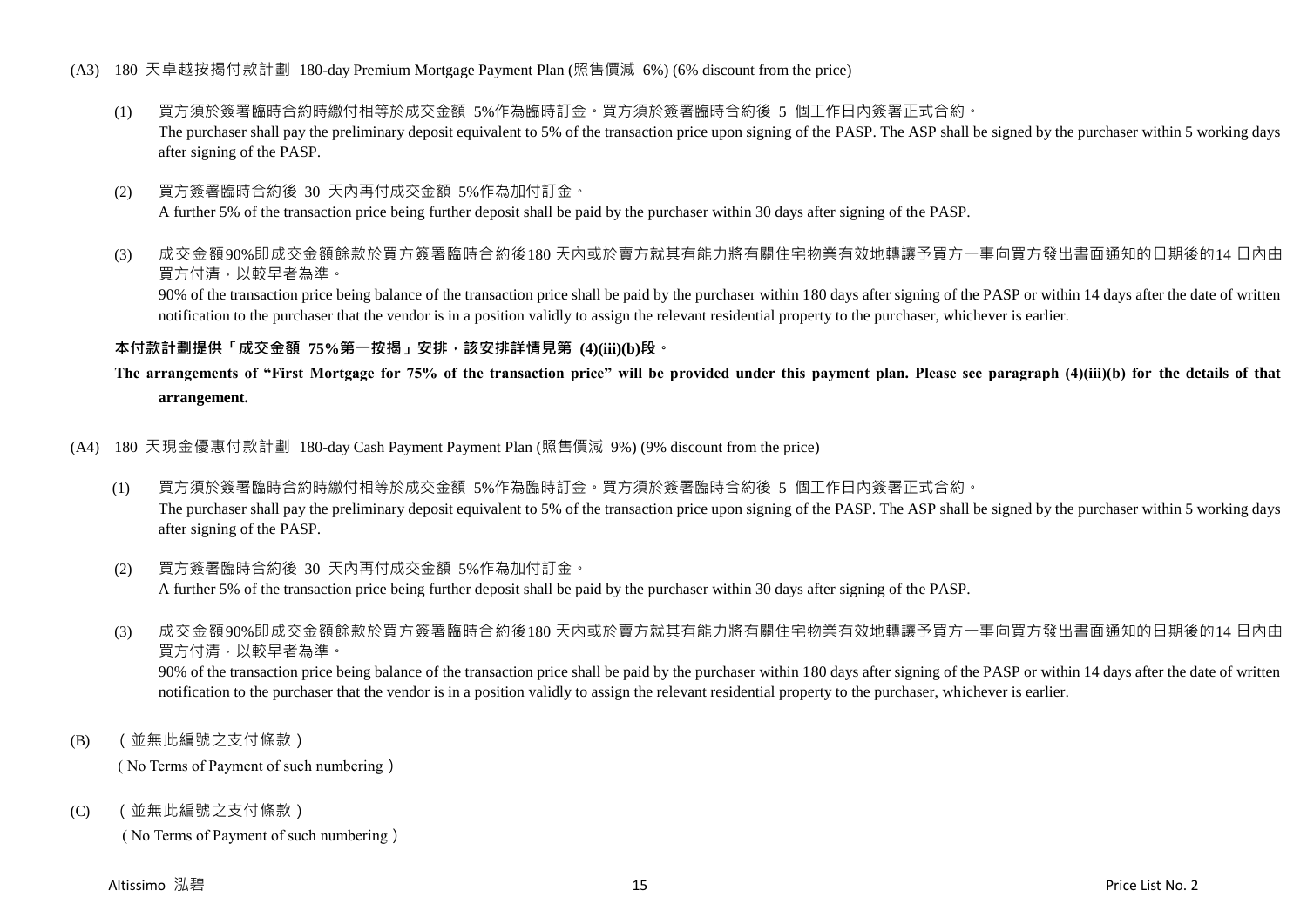#### (A3) 180 天卓越按揭付款計劃 180-day Premium Mortgage Payment Plan (照售價減 6%) (6% discount from the price)

- (1) 買方須於簽署臨時合約時繳付相等於成交金額 5%作為臨時訂金。買方須於簽署臨時合約後 5 個工作日內簽署正式合約。 The purchaser shall pay the preliminary deposit equivalent to 5% of the transaction price upon signing of the PASP. The ASP shall be signed by the purchaser within 5 working days after signing of the PASP.
- (2) 買方簽署臨時合約後 30 天內再付成交金額 5%作為加付訂金。 A further 5% of the transaction price being further deposit shall be paid by the purchaser within 30 days after signing of the PASP.
- (3) 成交金額90%即成交金額餘款於買方簽署臨時合約後180 天內或於賣方就其有能力將有關住宅物業有效地轉讓予買方一事向買方發出書面通知的日期後的14 日內由 買方付清,以較早者為準。

90% of the transaction price being balance of the transaction price shall be paid by the purchaser within 180 days after signing of the PASP or within 14 days after the date of written notification to the purchaser that the vendor is in a position validly to assign the relevant residential property to the purchaser, whichever is earlier.

#### **本付款計劃提供「成交金額 75%第一按揭」安排,該安排詳情見第 (4)(iii)(b)段。**

## **The arrangements of "First Mortgage for 75% of the transaction price" will be provided under this payment plan. Please see paragraph (4)(iii)(b) for the details of that arrangement.**

#### (A4) 180 天現金優惠付款計劃 180-day Cash Payment Payment Plan (照售價減 9%) (9% discount from the price)

(1) 買方須於簽署臨時合約時繳付相等於成交金額 5%作為臨時訂金。買方須於簽署臨時合約後 5 個工作日內簽署正式合約。 The purchaser shall pay the preliminary deposit equivalent to 5% of the transaction price upon signing of the PASP. The ASP shall be signed by the purchaser within 5 working days after signing of the PASP.

### (2) 買方簽署臨時合約後 30 天內再付成交金額 5%作為加付訂金。 A further 5% of the transaction price being further deposit shall be paid by the purchaser within 30 days after signing of the PASP.

(3) 成交金額90%即成交金額餘款於買方簽署臨時合約後180 天內或於賣方就其有能力將有關住宅物業有效地轉讓予買方一事向買方發出書面通知的日期後的14 日內由 買方付清,以較早者為準。

90% of the transaction price being balance of the transaction price shall be paid by the purchaser within 180 days after signing of the PASP or within 14 days after the date of written notification to the purchaser that the vendor is in a position validly to assign the relevant residential property to the purchaser, whichever is earlier.

(B) (並無此編號之支付條款)

( No Terms of Payment of such numbering)

(C) (並無此編號之支付條款)

( No Terms of Payment of such numbering)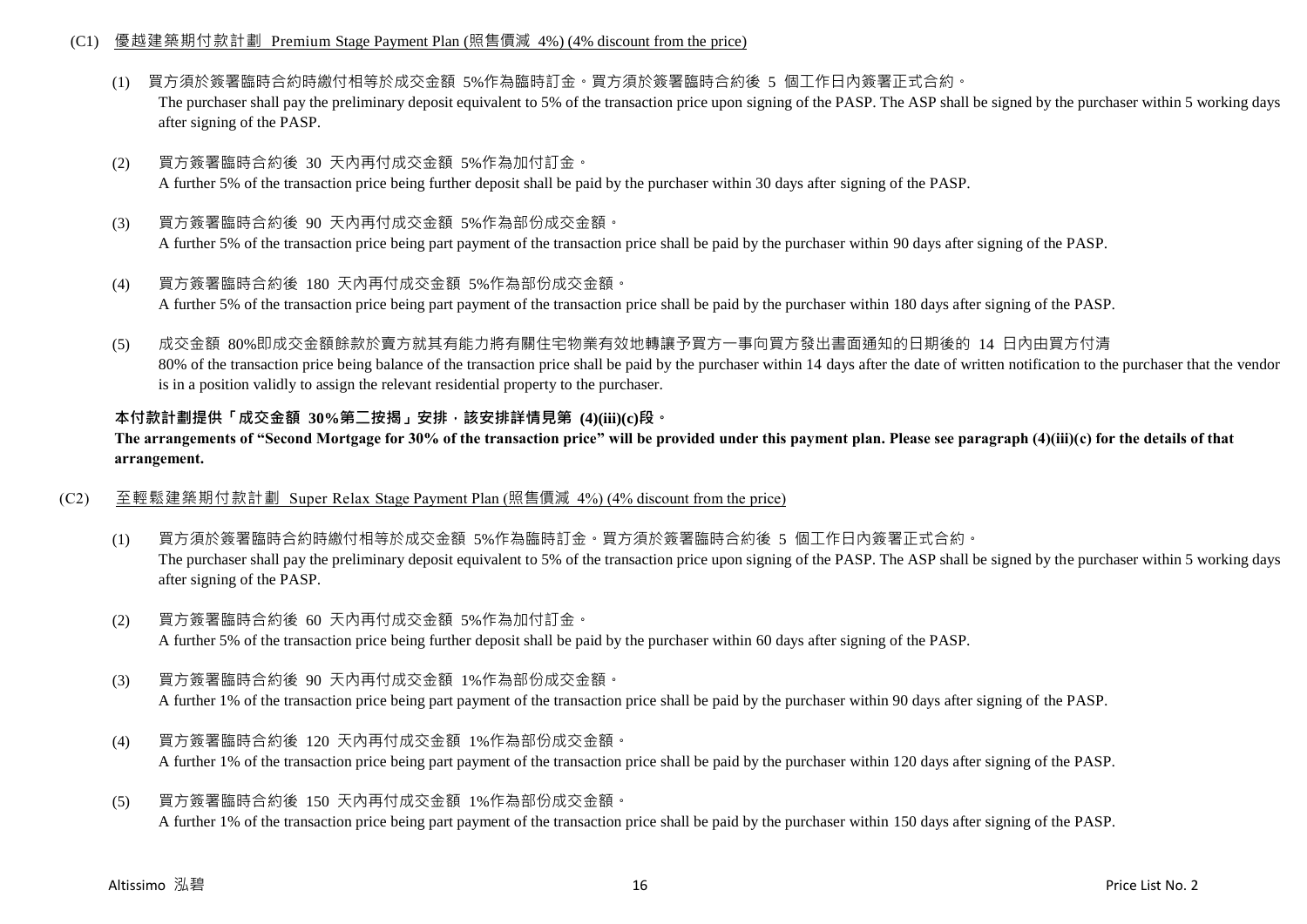#### (C1) 優越建築期付款計劃 Premium Stage Payment Plan (照售價減 4%) (4% discount from the price)

- (1) 買方須於簽署臨時合約時繳付相等於成交金額 5%作為臨時訂金。買方須於簽署臨時合約後 5 個工作日內簽署正式合約。 The purchaser shall pay the preliminary deposit equivalent to 5% of the transaction price upon signing of the PASP. The ASP shall be signed by the purchaser within 5 working days after signing of the PASP.
- (2) 買方簽署臨時合約後 30 天內再付成交金額 5%作為加付訂金。 A further 5% of the transaction price being further deposit shall be paid by the purchaser within 30 days after signing of the PASP.
- (3) 買方簽署臨時合約後 90 天內再付成交金額 5%作為部份成交金額。 A further 5% of the transaction price being part payment of the transaction price shall be paid by the purchaser within 90 days after signing of the PASP.
- (4) 買方簽署臨時合約後 180 天內再付成交金額 5%作為部份成交金額。 A further 5% of the transaction price being part payment of the transaction price shall be paid by the purchaser within 180 days after signing of the PASP.
- (5) 成交金額 80%即成交金額餘款於賣方就其有能力將有關住宅物業有效地轉讓予買方一事向買方發出書面通知的日期後的 14 日內由買方付清 80% of the transaction price being balance of the transaction price shall be paid by the purchaser within 14 days after the date of written notification to the purchaser that the vendor is in a position validly to assign the relevant residential property to the purchaser.

#### **本付款計劃提供「成交金額 30%第二按揭」安排,該安排詳情見第 (4)(iii)(c)段。**

**The arrangements of "Second Mortgage for 30% of the transaction price" will be provided under this payment plan. Please see paragraph (4)(iii)(c) for the details of that arrangement.**

- (C2) 至輕鬆建築期付款計劃 Super Relax Stage Payment Plan (照售價減 4%) (4% discount from the price)
	- (1) 買方須於簽署臨時合約時繳付相等於成交金額 5%作為臨時訂金。買方須於簽署臨時合約後 5 個工作日內簽署正式合約。 The purchaser shall pay the preliminary deposit equivalent to 5% of the transaction price upon signing of the PASP. The ASP shall be signed by the purchaser within 5 working days after signing of the PASP.
	- (2) 買方簽署臨時合約後 60 天內再付成交金額 5%作為加付訂金。 A further 5% of the transaction price being further deposit shall be paid by the purchaser within 60 days after signing of the PASP.
	- (3) 買方簽署臨時合約後 90 天內再付成交金額 1%作為部份成交金額。 A further 1% of the transaction price being part payment of the transaction price shall be paid by the purchaser within 90 days after signing of the PASP.
	- (4) 買方簽署臨時合約後 120 天內再付成交金額 1%作為部份成交金額。 A further 1% of the transaction price being part payment of the transaction price shall be paid by the purchaser within 120 days after signing of the PASP.
	- (5) 買方簽署臨時合約後 150 天內再付成交金額 1%作為部份成交金額。 A further 1% of the transaction price being part payment of the transaction price shall be paid by the purchaser within 150 days after signing of the PASP.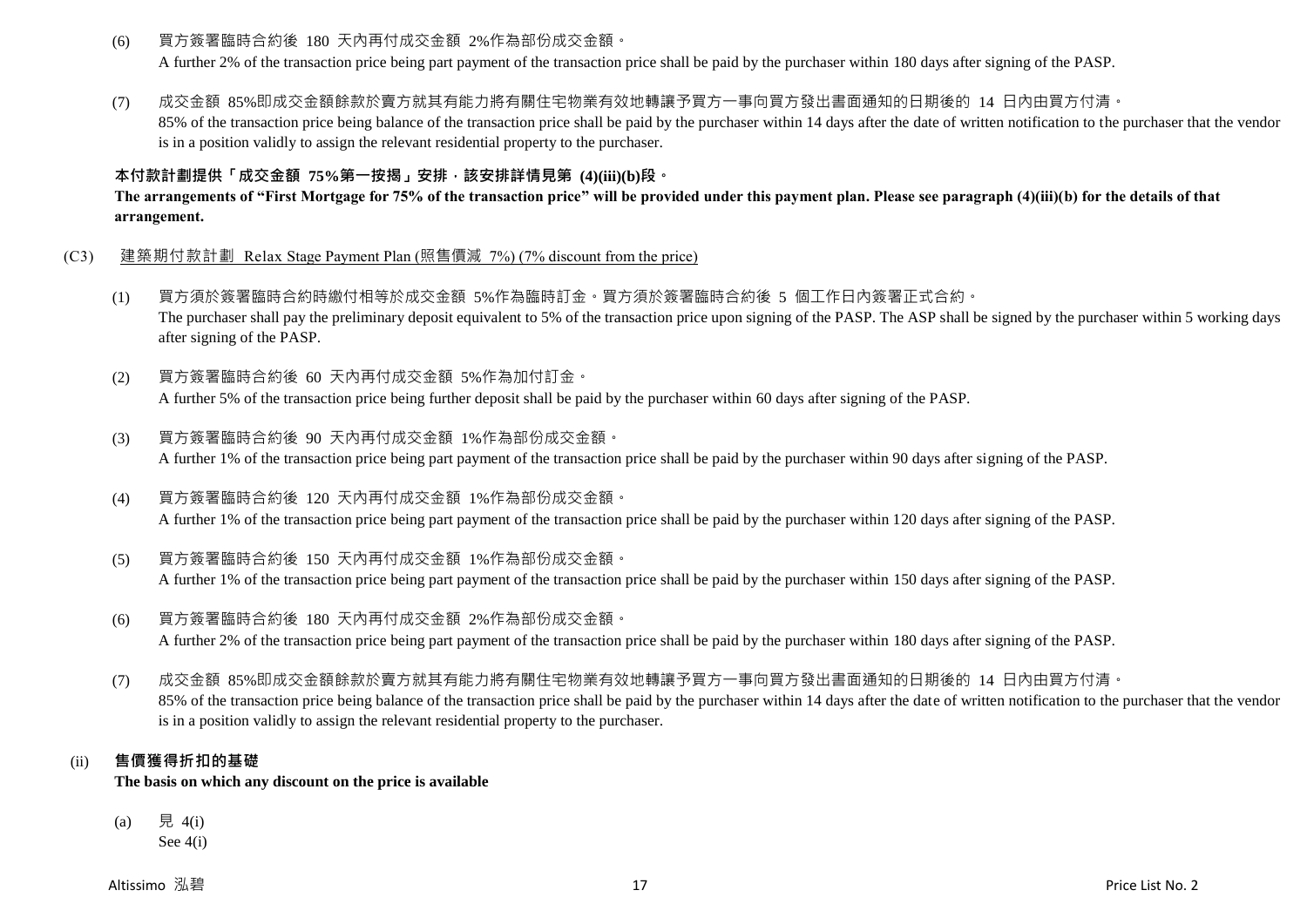(6) 買方簽署臨時合約後 180 天內再付成交金額 2%作為部份成交金額。

A further 2% of the transaction price being part payment of the transaction price shall be paid by the purchaser within 180 days after signing of the PASP.

(7) 成交金額 85%即成交金額餘款於賣方就其有能力將有關住宅物業有效地轉讓予買方一事向買方發出書面通知的日期後的 14 日內由買方付清。

85% of the transaction price being balance of the transaction price shall be paid by the purchaser within 14 days after the date of written notification to the purchaser that the vendor is in a position validly to assign the relevant residential property to the purchaser.

## **本付款計劃提供「成交金額 75%第一按揭」安排,該安排詳情見第 (4)(iii)(b)段。**

**The arrangements of "First Mortgage for 75% of the transaction price" will be provided under this payment plan. Please see paragraph (4)(iii)(b) for the details of that arrangement.**

- (C3) 建築期付款計劃 Relax Stage Payment Plan (照售價減 7%) (7% discount from the price)
	- (1) 買方須於簽署臨時合約時繳付相等於成交金額 5%作為臨時訂金。買方須於簽署臨時合約後 5 個工作日內簽署正式合約。 The purchaser shall pay the preliminary deposit equivalent to 5% of the transaction price upon signing of the PASP. The ASP shall be signed by the purchaser within 5 working days after signing of the PASP.
	- (2) 買方簽署臨時合約後 60 天內再付成交金額 5%作為加付訂金。 A further 5% of the transaction price being further deposit shall be paid by the purchaser within 60 days after signing of the PASP.
	- (3) 買方簽署臨時合約後 90 天內再付成交金額 1%作為部份成交金額。 A further 1% of the transaction price being part payment of the transaction price shall be paid by the purchaser within 90 days after signing of the PASP.
	- (4) 買方簽署臨時合約後 120 天內再付成交金額 1%作為部份成交金額。 A further 1% of the transaction price being part payment of the transaction price shall be paid by the purchaser within 120 days after signing of the PASP.
	- (5) 買方簽署臨時合約後 150 天內再付成交金額 1%作為部份成交金額。 A further 1% of the transaction price being part payment of the transaction price shall be paid by the purchaser within 150 days after signing of the PASP.
	- (6) 買方簽署臨時合約後 180 天內再付成交金額 2%作為部份成交金額。 A further 2% of the transaction price being part payment of the transaction price shall be paid by the purchaser within 180 days after signing of the PASP.
	- (7) 成交金額 85%即成交金額餘款於賣方就其有能力將有關住宅物業有效地轉讓予買方一事向買方發出書面通知的日期後的 14 日內由買方付清。 85% of the transaction price being balance of the transaction price shall be paid by the purchaser within 14 days after the date of written notification to the purchaser that the vendor is in a position validly to assign the relevant residential property to the purchaser.

## (ii) **售價獲得折扣的基礎**

**The basis on which any discount on the price is available**

(a) 見 4(i)

See 4(i)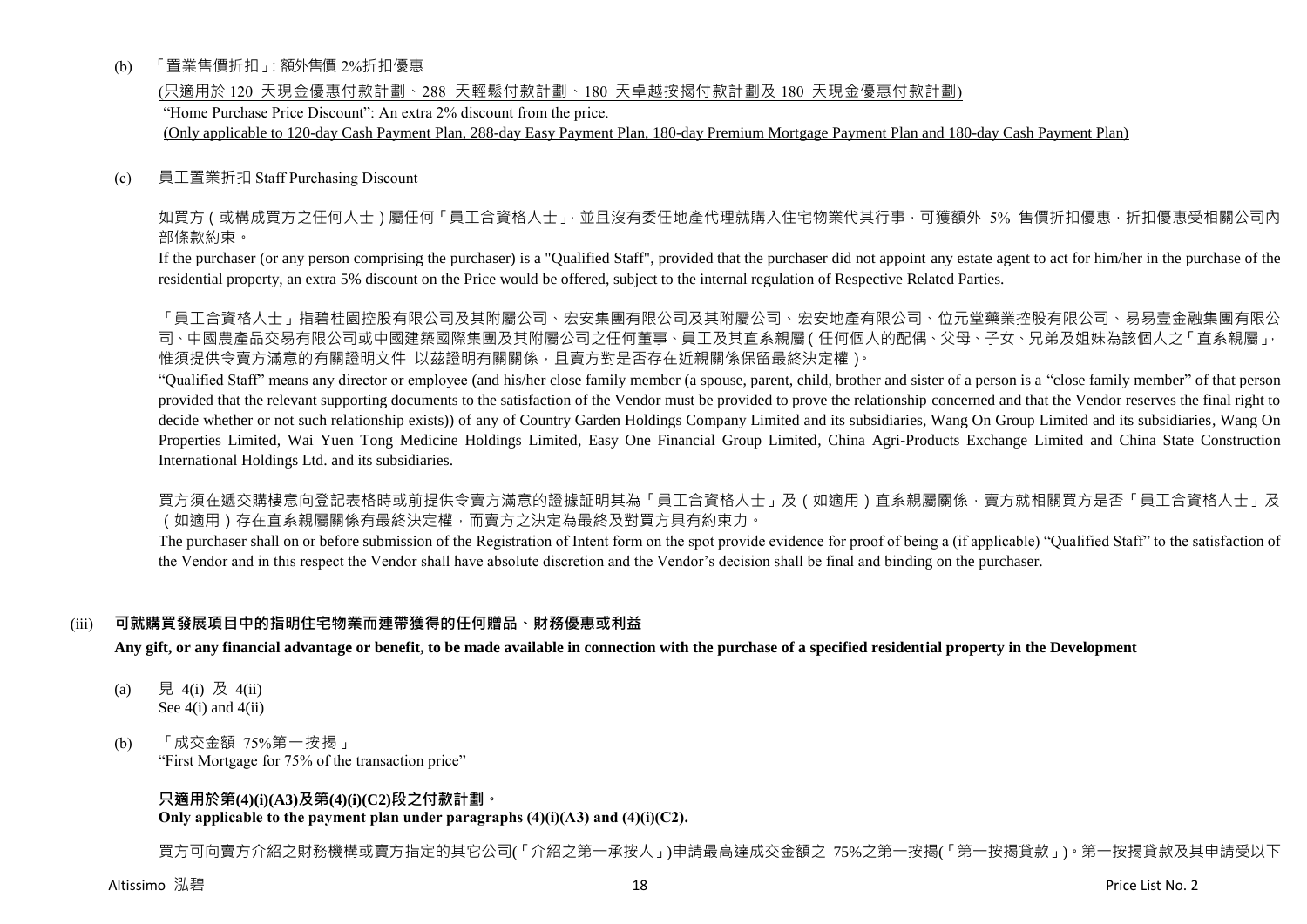#### (b) 「置業售價折扣」:額外售價 2%折扣優惠

(只適用於 120 天現金優惠付款計劃、288 天輕鬆付款計劃、180 天卓越按揭付款計劃及 180 天現金優惠付款計劃)

"Home Purchase Price Discount": An extra 2% discount from the price.

(Only applicable to 120-day Cash Payment Plan, 288-day Easy Payment Plan, 180-day Premium Mortgage Payment Plan and 180-day Cash Payment Plan)

#### (c) 員工置業折扣 Staff Purchasing Discount

如買方(或構成買方之任何人士)屬任何「員工合資格人士」,並且沒有委任地產代理就購入住宅物業代其行事,可獲額外 5% 售價折扣優惠,折扣優惠受相關公司內 部條款約束。

If the purchaser (or any person comprising the purchaser) is a "Qualified Staff", provided that the purchaser did not appoint any estate agent to act for him/her in the purchase of the residential property, an extra 5% discount on the Price would be offered, subject to the internal regulation of Respective Related Parties.

「員工合資格人士」指碧桂園控股有限公司及其附屬公司、宏安集團有限公司及其附屬公司、宏安地產有限公司、位元堂藥業控股有限公司、易易壹金融集團有限公 司、中國農產品交易有限公司或中國建築國際集團及其附屬公司之任何董事、員工及其直系親屬(任何個人的配偶、父母、子女、兄弟及姐妹為該個人之「直系親屬」, 惟須提供令賣方滿意的有關證明文件 以茲證明有關關係,且賣方對是否存在近親關係保留最終決定權)。

"Qualified Staff" means any director or employee (and his/her close family member (a spouse, parent, child, brother and sister of a person is a "close family member" of that person provided that the relevant supporting documents to the satisfaction of the Vendor must be provided to prove the relationship concerned and that the Vendor reserves the final right to decide whether or not such relationship exists)) of any of Country Garden Holdings Company Limited and its subsidiaries, Wang On Group Limited and its subsidiaries, Wang On Properties Limited, Wai Yuen Tong Medicine Holdings Limited, Easy One Financial Group Limited, China Agri-Products Exchange Limited and China State Construction International Holdings Ltd. and its subsidiaries.

買方須在遞交購樓意向登記表格時或前提供令賣方滿意的證據証明其為「員工合資格人士」及(如適用)直系親屬關係,賣方就相關買方是否「員工合資格人士」及 (如適用)存在直系親屬關係有最終決定權,而賣方之決定為最終及對買方具有約束力。

The purchaser shall on or before submission of the Registration of Intent form on the spot provide evidence for proof of being a (if applicable) "Qualified Staff" to the satisfaction of the Vendor and in this respect the Vendor shall have absolute discretion and the Vendor's decision shall be final and binding on the purchaser.

#### (iii) **可就購買發展項目中的指明住宅物業而連帶獲得的任何贈品、財務優惠或利益**

**Any gift, or any financial advantage or benefit, to be made available in connection with the purchase of a specified residential property in the Development**

- (a) 見 4(i) 及 4(ii) See  $4(i)$  and  $4(ii)$
- (b) 「成交金額 75%第一按揭」 "First Mortgage for 75% of the transaction price"

## **只適用於第(4)(i)(A3)及第(4)(i)(C2)段之付款計劃。**

**Only applicable to the payment plan under paragraphs (4)(i)(A3) and (4)(i)(C2).**

買方可向賣方介紹之財務機構或賣方指定的其它公司(「介紹之第一承按人」)申請最高達成交金額之 75%之第一按揭(「第一按揭貸款」)。第一按揭貸款及其申請受以下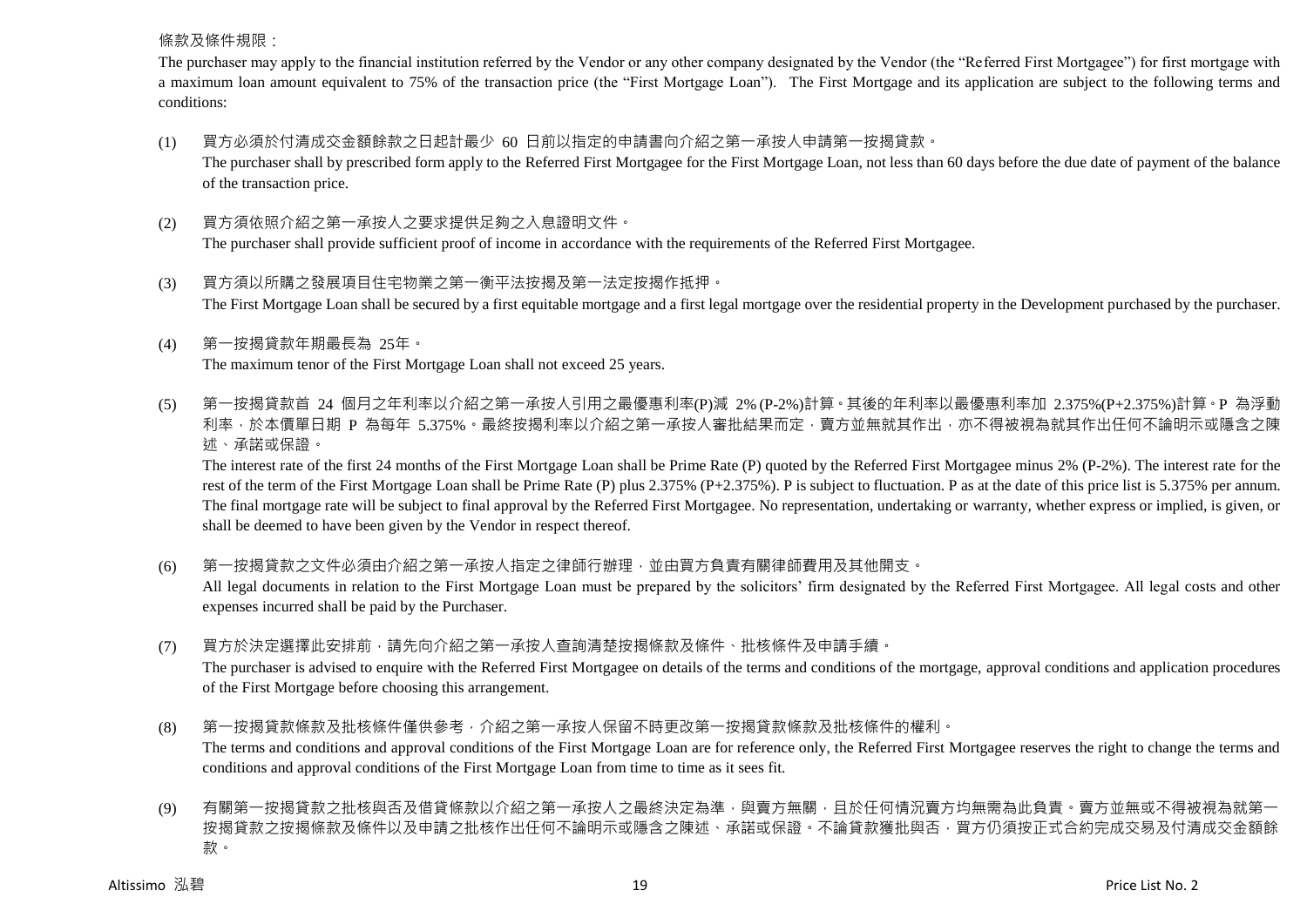#### 條款及條件規限:

The purchaser may apply to the financial institution referred by the Vendor or any other company designated by the Vendor (the "Referred First Mortgagee") for first mortgage with a maximum loan amount equivalent to 75% of the transaction price (the "First Mortgage Loan"). The First Mortgage and its application are subject to the following terms and conditions:

- (1) 買方必須於付清成交金額餘款之日起計最少 60 日前以指定的申請書向介紹之第一承按人申請第一按揭貸款。 The purchaser shall by prescribed form apply to the Referred First Mortgagee for the First Mortgage Loan, not less than 60 days before the due date of payment of the balance of the transaction price.
- (2) 買方須依照介紹之第一承按人之要求提供足夠之入息證明文件。

The purchaser shall provide sufficient proof of income in accordance with the requirements of the Referred First Mortgagee.

- (3) 買方須以所購之發展項目住宅物業之第一衡平法按揭及第一法定按揭作抵押。 The First Mortgage Loan shall be secured by a first equitable mortgage and a first legal mortgage over the residential property in the Development purchased by the purchaser.
- (4) 第一按揭貸款年期最長為 25年。 The maximum tenor of the First Mortgage Loan shall not exceed 25 years.

(5) 第一按揭貸款首 24 個月之年利率以介紹之第一承按人引用之最優惠利率(P)減 2% (P-2%)計算。其後的年利率以最優惠利率加 2.375%(P+2.375%)計算。P 為浮動 利率,於本價單日期 P 為每年 5.375%。最終按揭利率以介紹之第一承按人審批結果而定,賣方並無就其作出,亦不得被視為就其作出任何不論明示或隱含之陳 述、承諾或保證。

The interest rate of the first 24 months of the First Mortgage Loan shall be Prime Rate (P) quoted by the Referred First Mortgagee minus 2% (P-2%). The interest rate for the rest of the term of the First Mortgage Loan shall be Prime Rate (P) plus 2.375% (P+2.375%). P is subject to fluctuation. P as at the date of this price list is 5.375% per annum. The final mortgage rate will be subject to final approval by the Referred First Mortgagee. No representation, undertaking or warranty, whether express or implied, is given, or shall be deemed to have been given by the Vendor in respect thereof.

- (6) 第一按揭貸款之文件必須由介紹之第一承按人指定之律師行辦理,並由買方負責有關律師費用及其他開支。 All legal documents in relation to the First Mortgage Loan must be prepared by the solicitors' firm designated by the Referred First Mortgagee. All legal costs and other expenses incurred shall be paid by the Purchaser.
- (7) 買方於決定選擇此安排前,請先向介紹之第一承按人查詢清楚按揭條款及條件、批核條件及申請手續。 The purchaser is advised to enquire with the Referred First Mortgagee on details of the terms and conditions of the mortgage, approval conditions and application procedures

of the First Mortgage before choosing this arrangement.

(8) 第一按揭貸款條款及批核條件僅供參考,介紹之第一承按人保留不時更改第一按揭貸款條款及批核條件的權利。

The terms and conditions and approval conditions of the First Mortgage Loan are for reference only, the Referred First Mortgagee reserves the right to change the terms and conditions and approval conditions of the First Mortgage Loan from time to time as it sees fit.

(9) 有關第一按揭貸款之批核與否及借貸條款以介紹之第一承按人之最終決定為準,與賣方無關,且於任何情況賣方均無需為此負責。賣方並無或不得被視為就第一 按揭貸款之按揭條款及條件以及申請之批核作出任何不論明示或隱含之陳述、承諾或保證。不論貸款獲批與否,買方仍須按正式合約完成交易及付清成交金額餘 款。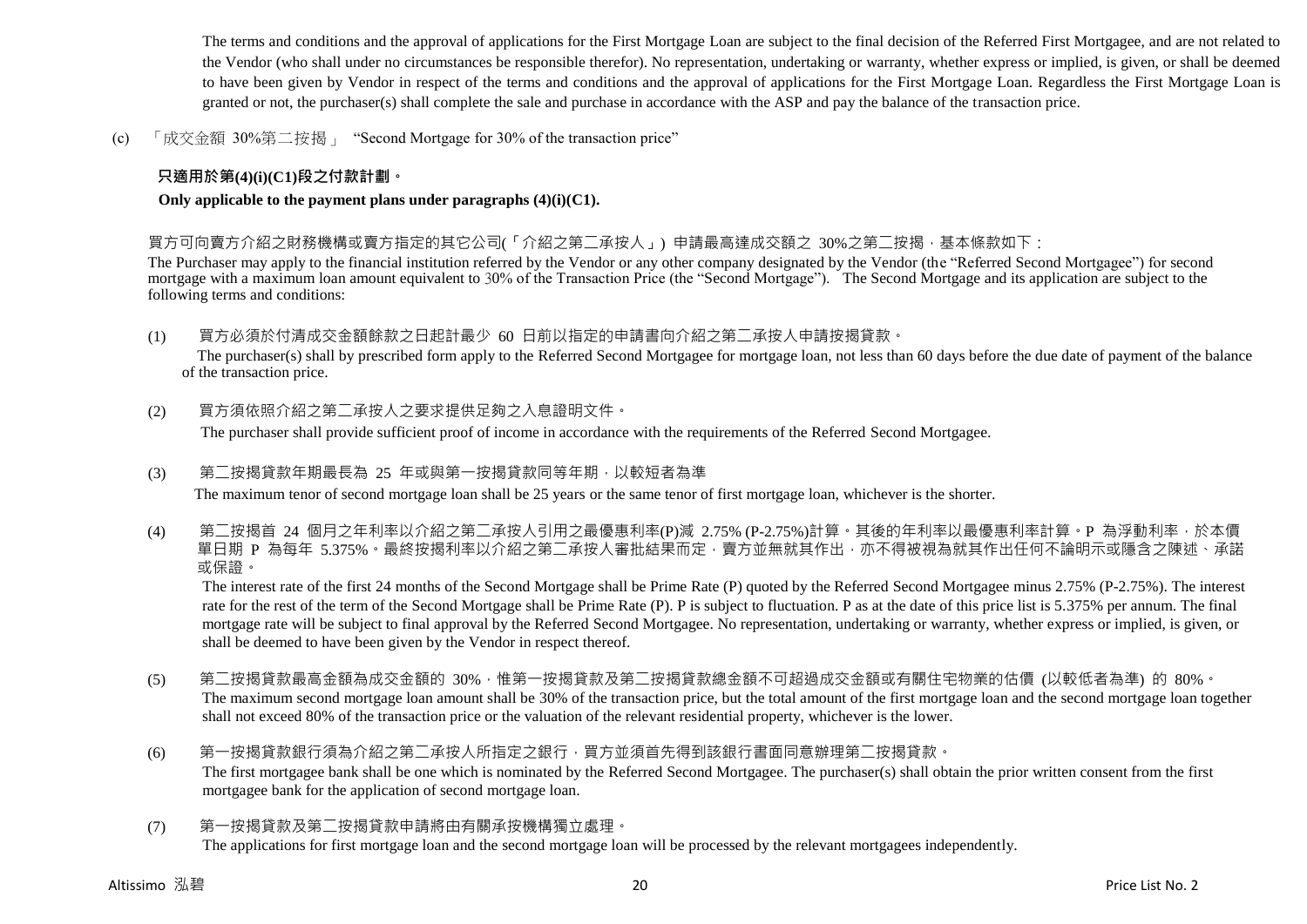The terms and conditions and the approval of applications for the First Mortgage Loan are subject to the final decision of the Referred First Mortgagee, and are not related to the Vendor (who shall under no circumstances be responsible therefor). No representation, undertaking or warranty, whether express or implied, is given, or shall be deemed to have been given by Vendor in respect of the terms and conditions and the approval of applications for the First Mortgage Loan. Regardless the First Mortgage Loan is granted or not, the purchaser(s) shall complete the sale and purchase in accordance with the ASP and pay the balance of the transaction price.

(c) 「成交金額 30%第二按揭」 "Second Mortgage for 30% of the transaction price"

## **只適用於第(4)(i)(C1)段之付款計劃。**

**Only applicable to the payment plans under paragraphs (4)(i)(C1).**

#### 買方可向賣方介紹之財務機構或賣方指定的其它公司(「介紹之第二承按人」) 申請最高達成交額之 30%之第二按揭,基本條款如下:

The Purchaser may apply to the financial institution referred by the Vendor or any other company designated by the Vendor (the "Referred Second Mortgagee") for second mortgage with a maximum loan amount equivalent to 30% of the Transaction Price (the "Second Mortgage"). The Second Mortgage and its application are subject to the following terms and conditions:

(1) 買方必須於付清成交金額餘款之日起計最少 60 日前以指定的申請書向介紹之第二承按人申請按揭貸款。

The purchaser(s) shall by prescribed form apply to the Referred Second Mortgagee for mortgage loan, not less than 60 days before the due date of payment of the balance of the transaction price.

(2) 買方須依照介紹之第二承按人之要求提供足夠之入息證明文件。

The purchaser shall provide sufficient proof of income in accordance with the requirements of the Referred Second Mortgagee.

#### (3) 第二按揭貸款年期最長為 25 年或與第一按揭貸款同等年期,以較短者為準

The maximum tenor of second mortgage loan shall be 25 years or the same tenor of first mortgage loan, whichever is the shorter.

(4) 第二按揭首 24 個月之年利率以介紹之第二承按人引用之最優惠利率(P)減 2.75% (P-2.75%)計算。其後的年利率以最優惠利率計算。P 為浮動利率,於本價 單日期 P 為每年 5.375%。最終按揭利率以介紹之第<sup>一</sup>承按人審批結果而定,賣方並無就其作出,亦不得被視為就其作出任何不論明示或隱含之陳述、承諾 或保證。

The interest rate of the first 24 months of the Second Mortgage shall be Prime Rate (P) quoted by the Referred Second Mortgagee minus 2.75% (P-2.75%). The interest rate for the rest of the term of the Second Mortgage shall be Prime Rate (P). P is subject to fluctuation. P as at the date of this price list is 5.375% per annum. The final mortgage rate will be subject to final approval by the Referred Second Mortgagee. No representation, undertaking or warranty, whether express or implied, is given, or shall be deemed to have been given by the Vendor in respect thereof.

- (5) 第二按揭貸款最高金額為成交金額的 30%,惟第一按揭貸款及第二按揭貸款總金額不可超過成交金額或有關住宅物業的估價 (以較低者為準) 的 80%。 The maximum second mortgage loan amount shall be 30% of the transaction price, but the total amount of the first mortgage loan and the second mortgage loan together shall not exceed 80% of the transaction price or the valuation of the relevant residential property, whichever is the lower.
- (6) 第一按揭貸款銀行須為介紹之第二承按人所指定之銀行,買方並須首先得到該銀行書面同意辦理第二按揭貸款。 The first mortgagee bank shall be one which is nominated by the Referred Second Mortgagee. The purchaser(s) shall obtain the prior written consent from the first mortgagee bank for the application of second mortgage loan.
- (7) 第一按揭貸款及第一按揭貸款申請將由有關承按機構獨立處理。 The applications for first mortgage loan and the second mortgage loan will be processed by the relevant mortgagees independently.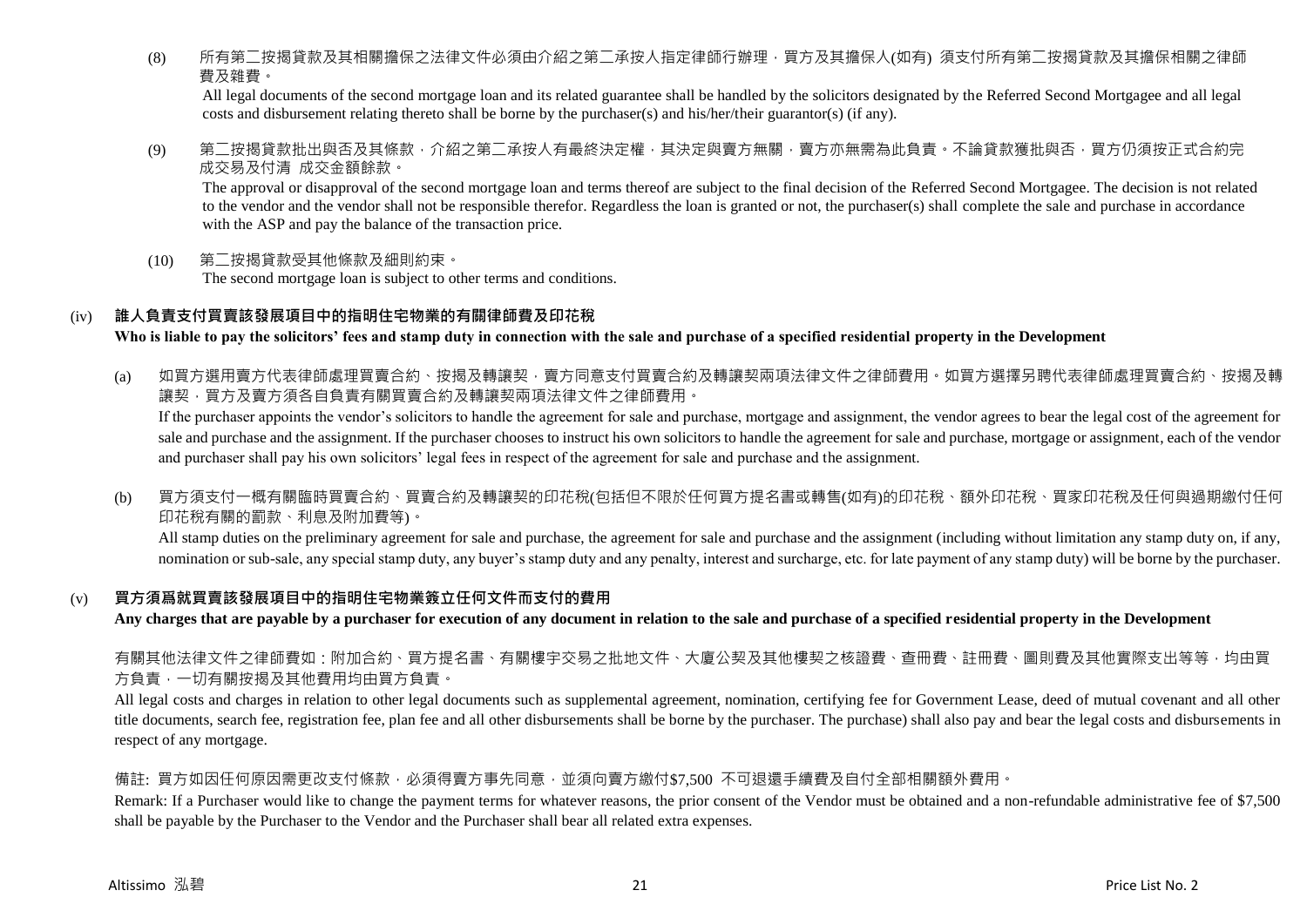(8) 所有第<sup>一</sup>按揭貸款及其相關擔保之法律文件必須由介紹之第<sup>一</sup>承按人指定律師行辦理,買方及其擔保人(如有) 須支付所有第<sup>一</sup>按揭貸款及其擔保相關之律師 費及雜費。

All legal documents of the second mortgage loan and its related guarantee shall be handled by the solicitors designated by the Referred Second Mortgagee and all legal costs and disbursement relating thereto shall be borne by the purchaser(s) and his/her/their guarantor(s) (if any).

(9) 第二按揭貸款批出與否及其條款,介紹之第二承按人有最終決定權,其決定與賣方無關,賣方亦無需為此負責。不論貸款獲批與否,買方仍須按正式合約完 成交易及付清 成交金額餘款。

The approval or disapproval of the second mortgage loan and terms thereof are subject to the final decision of the Referred Second Mortgagee. The decision is not related to the vendor and the vendor shall not be responsible therefor. Regardless the loan is granted or not, the purchaser(s) shall complete the sale and purchase in accordance with the ASP and pay the balance of the transaction price.

(10) 第二按揭貸款受其他條款及細則約束。 The second mortgage loan is subject to other terms and conditions.

#### (iv) **誰人負責支付買賣該發展項目中的指明住宅物業的有關律師費及印花稅**

**Who is liable to pay the solicitors' fees and stamp duty in connection with the sale and purchase of a specified residential property in the Development**

(a) 如買方選用賣方代表律師處理買賣合約、按揭及轉讓契,賣方同意支付買賣合約及轉讓契兩項法律文件之律師費用。如買方選擇另聘代表律師處理買賣合約、按揭及轉 譲契,買方及賣方須各自負責有關買賣合約及轉讓契兩項法律文件之律師費用。

If the purchaser appoints the vendor's solicitors to handle the agreement for sale and purchase, mortgage and assignment, the vendor agrees to bear the legal cost of the agreement for sale and purchase and the assignment. If the purchaser chooses to instruct his own solicitors to handle the agreement for sale and purchase, mortgage or assignment, each of the vendor and purchaser shall pay his own solicitors' legal fees in respect of the agreement for sale and purchase and the assignment.

(b) 買方須支付一概有關臨時買賣合約、買賣合約及轉讓契的印花稅(包括但不限於任何買方提名書或轉售(如有)的印花稅、額外印花稅、買家印花稅及任何與過期繳付任何 印花稅有關的罰款、利息及附加費等)。

All stamp duties on the preliminary agreement for sale and purchase, the agreement for sale and purchase and the assignment (including without limitation any stamp duty on, if any, nomination or sub-sale, any special stamp duty, any buyer's stamp duty and any penalty, interest and surcharge, etc. for late payment of any stamp duty) will be borne by the purchaser.

#### (v) **買方須爲就買賣該發展項目中的指明住宅物業簽立任何文件而支付的費用**

**Any charges that are payable by a purchaser for execution of any document in relation to the sale and purchase of a specified residential property in the Development**

有關其他法律文件之律師費如:附加合約、買方提名書、有關樓宇交易之批地文件、大廈公契及其他樓契之核證費、杳冊費、註冊費、圖則費及其他實際支出等等,均由買 方負責,一切有關按揭及其他費用均由買方負責。

All legal costs and charges in relation to other legal documents such as supplemental agreement, nomination, certifying fee for Government Lease, deed of mutual covenant and all other title documents, search fee, registration fee, plan fee and all other disbursements shall be borne by the purchaser. The purchase) shall also pay and bear the legal costs and disbursements in respect of any mortgage.

#### 備註: 買方如因任何原因需更改支付條款,必須得賣方事先同意,並須向賣方繳付\$7,500 不可退還手續費及自付全部相關額外費用。

Remark: If a Purchaser would like to change the payment terms for whatever reasons, the prior consent of the Vendor must be obtained and a non-refundable administrative fee of \$7,500 shall be payable by the Purchaser to the Vendor and the Purchaser shall bear all related extra expenses.